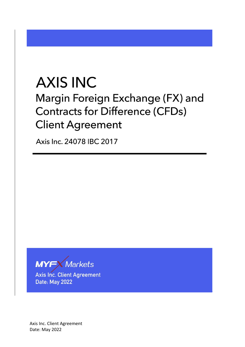# **AXIS INC**

Margin Foreign Exchange (FX) and **Contracts for Difference (CFDs) Client Agreement** 

Axis Inc. 24078 IBC 2017



**Axis Inc. Client Agreement** Date: May 2022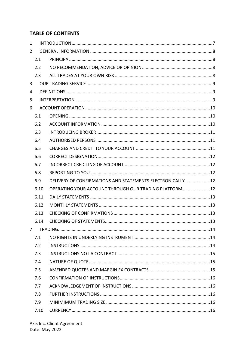# **TABLE OF CONTENTS**

| $\mathbf{1}$   |      |                                                             |  |  |  |
|----------------|------|-------------------------------------------------------------|--|--|--|
| $\overline{2}$ |      |                                                             |  |  |  |
|                | 2.1  |                                                             |  |  |  |
|                | 2.2  |                                                             |  |  |  |
|                | 2.3  |                                                             |  |  |  |
| 3              |      |                                                             |  |  |  |
| 4              |      |                                                             |  |  |  |
| 5              |      |                                                             |  |  |  |
| 6              |      |                                                             |  |  |  |
|                | 6.1  |                                                             |  |  |  |
|                | 6.2  |                                                             |  |  |  |
|                | 6.3  |                                                             |  |  |  |
|                | 6.4  |                                                             |  |  |  |
|                | 6.5  |                                                             |  |  |  |
|                | 6.6  |                                                             |  |  |  |
|                | 6.7  |                                                             |  |  |  |
|                | 6.8  |                                                             |  |  |  |
|                | 6.9  | DELIVERY OF CONFIRMATIONS AND STATEMENTS ELECTRONICALLY  12 |  |  |  |
|                | 6.10 | OPERATING YOUR ACCOUNT THROUGH OUR TRADING PLATFORM 12      |  |  |  |
|                | 6.11 |                                                             |  |  |  |
|                | 6.12 |                                                             |  |  |  |
|                | 6.13 |                                                             |  |  |  |
|                | 6.14 |                                                             |  |  |  |
| $\overline{7}$ |      |                                                             |  |  |  |
|                | 7.1  |                                                             |  |  |  |
|                | 7.2  |                                                             |  |  |  |
|                | 7.3  |                                                             |  |  |  |
|                | 7.4  |                                                             |  |  |  |
|                | 7.5  |                                                             |  |  |  |
|                | 7.6  |                                                             |  |  |  |
|                | 7.7  |                                                             |  |  |  |
|                | 7.8  |                                                             |  |  |  |
|                | 7.9  |                                                             |  |  |  |
|                | 7.10 |                                                             |  |  |  |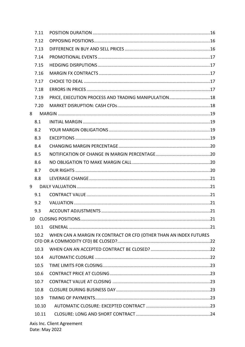| 7.11        |                                                                   |  |
|-------------|-------------------------------------------------------------------|--|
| 7.12        |                                                                   |  |
| 7.13        |                                                                   |  |
| 7.14        |                                                                   |  |
| 7.15        |                                                                   |  |
| 7.16        |                                                                   |  |
| 7.17        |                                                                   |  |
| 7.18        |                                                                   |  |
| 7.19        | PRICE, EXECUTION PROCESS AND TRADING MANIPULATION 18              |  |
| 7.20        |                                                                   |  |
| 8           |                                                                   |  |
| 8.1         |                                                                   |  |
| 8.2         |                                                                   |  |
| 8.3         |                                                                   |  |
| 8.4         |                                                                   |  |
| 8.5         |                                                                   |  |
| 8.6         |                                                                   |  |
| 8.7         |                                                                   |  |
| 8.8         |                                                                   |  |
| $9^{\circ}$ |                                                                   |  |
| 9.1         |                                                                   |  |
| 9.2         |                                                                   |  |
| 9.3         |                                                                   |  |
| 10          |                                                                   |  |
| 10.1        |                                                                   |  |
| 10.2        | WHEN CAN A MARGIN FX CONTRACT OR CFD (OTHER THAN AN INDEX FUTURES |  |
| 10.3        |                                                                   |  |
| 10.4        |                                                                   |  |
| 10.5        |                                                                   |  |
| 10.6        |                                                                   |  |
| 10.7        |                                                                   |  |
| 10.8        |                                                                   |  |
| 10.9        |                                                                   |  |
| 10.10       |                                                                   |  |
| 10.11       |                                                                   |  |
|             | Axis Inc. Client Agreement                                        |  |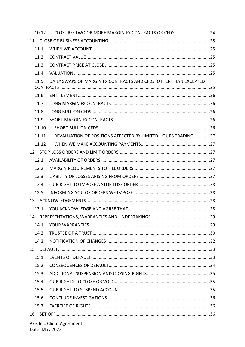| 10.12                      | CLOSURE: TWO OR MORE MARGIN FX CONTRACTS OR CFDS 24              |  |  |  |
|----------------------------|------------------------------------------------------------------|--|--|--|
| 11                         |                                                                  |  |  |  |
| 11.1                       |                                                                  |  |  |  |
| 11.2                       |                                                                  |  |  |  |
| 11.3                       |                                                                  |  |  |  |
| 11.4                       |                                                                  |  |  |  |
| 11.5                       | DAILY SWAPS OF MARGIN FX CONTRACTS AND CFDs (OTHER THAN EXCEPTED |  |  |  |
|                            |                                                                  |  |  |  |
| 11.6                       |                                                                  |  |  |  |
| 11.7                       |                                                                  |  |  |  |
| 11.8                       |                                                                  |  |  |  |
| 11.9                       |                                                                  |  |  |  |
| 11.10                      |                                                                  |  |  |  |
| 11.11                      | REVALUATION OF POSITIONS AFFECTED BY LIMITED HOURS TRADING27     |  |  |  |
| 11.12                      |                                                                  |  |  |  |
|                            |                                                                  |  |  |  |
| 12.1                       |                                                                  |  |  |  |
| 12.2                       |                                                                  |  |  |  |
| 12.3                       |                                                                  |  |  |  |
| 12.4                       |                                                                  |  |  |  |
| 12.5                       |                                                                  |  |  |  |
|                            |                                                                  |  |  |  |
| 13.1                       |                                                                  |  |  |  |
| 14                         |                                                                  |  |  |  |
| 14.1                       |                                                                  |  |  |  |
| 14.2                       |                                                                  |  |  |  |
| 14.3                       |                                                                  |  |  |  |
|                            |                                                                  |  |  |  |
| 15.1                       |                                                                  |  |  |  |
| 15.2                       |                                                                  |  |  |  |
| 15.3                       |                                                                  |  |  |  |
| 15.4                       |                                                                  |  |  |  |
| 15.5                       |                                                                  |  |  |  |
| 15.6                       |                                                                  |  |  |  |
| 15.7                       |                                                                  |  |  |  |
| 16                         |                                                                  |  |  |  |
| Axis Inc. Client Agreement |                                                                  |  |  |  |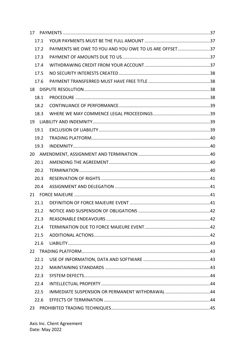|    | 17.1 |                                                       |  |
|----|------|-------------------------------------------------------|--|
|    | 17.2 | PAYMENTS WE OWE TO YOU AND YOU OWE TO US ARE OFFSET37 |  |
|    | 17.3 |                                                       |  |
|    | 17.4 |                                                       |  |
|    | 17.5 |                                                       |  |
|    | 17.6 |                                                       |  |
| 18 |      |                                                       |  |
|    | 18.1 |                                                       |  |
|    | 18.2 |                                                       |  |
|    | 18.3 |                                                       |  |
|    |      |                                                       |  |
|    | 19.1 |                                                       |  |
|    | 19.2 |                                                       |  |
|    | 19.3 |                                                       |  |
| 20 |      |                                                       |  |
|    | 20.1 |                                                       |  |
|    | 20.2 |                                                       |  |
|    | 20.3 |                                                       |  |
|    | 20.4 |                                                       |  |
|    |      |                                                       |  |
|    | 21.1 |                                                       |  |
|    | 21.2 |                                                       |  |
|    | 21.3 |                                                       |  |
|    | 21.4 |                                                       |  |
|    | 21.5 |                                                       |  |
|    | 21.6 |                                                       |  |
| 22 |      |                                                       |  |
|    | 22.1 |                                                       |  |
|    | 22.2 |                                                       |  |
|    | 22.3 |                                                       |  |
|    | 22.4 |                                                       |  |
|    | 22.5 |                                                       |  |
|    | 22.6 |                                                       |  |
| 23 |      |                                                       |  |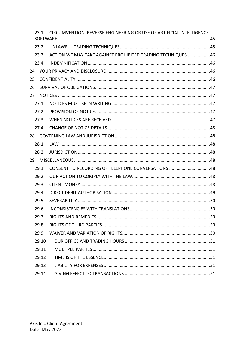| 23.1  | CIRCUMVENTION, REVERSE ENGINEERING OR USE OF ARTIFICIAL INTELLIGENCE |
|-------|----------------------------------------------------------------------|
| 23.2  |                                                                      |
| 23.3  | ACTION WE MAY TAKE AGAINST PROHIBITED TRADING TECHNIQUES 46          |
| 23.4  |                                                                      |
| 24    |                                                                      |
| 25    |                                                                      |
| 26    |                                                                      |
| 27    |                                                                      |
| 27.1  |                                                                      |
| 27.2  |                                                                      |
| 27.3  |                                                                      |
| 27.4  |                                                                      |
|       |                                                                      |
| 28.1  |                                                                      |
| 28.2  |                                                                      |
|       |                                                                      |
| 29.1  | CONSENT TO RECORDING OF TELEPHONE CONVERSATIONS 48                   |
| 29.2  |                                                                      |
| 29.3  |                                                                      |
| 29.4  |                                                                      |
| 29.5  |                                                                      |
| 29.6  |                                                                      |
| 29.7  |                                                                      |
| 29.8  |                                                                      |
| 29.9  |                                                                      |
| 29.10 |                                                                      |
| 29.11 |                                                                      |
| 29.12 |                                                                      |
| 29.13 |                                                                      |
| 29.14 |                                                                      |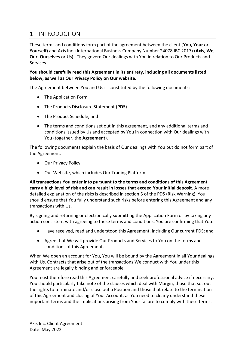# <span id="page-6-0"></span>1 INTRODUCTION

These terms and conditions form part of the agreement between the client (**You, Your** or **Yourself**) and Axis Inc. (International Business Company Number 24078 IBC 2017) (**Axis**, **We**, **Our, Ourselves** or **Us**). They govern Our dealings with You in relation to Our Products and Services.

#### **You should carefully read this Agreement in its entirety, including all documents listed below, as well as Our Privacy Policy on Our website.**

The Agreement between You and Us is constituted by the following documents:

- The Application Form
- The Products Disclosure Statement (**PDS**)
- The Product Schedule; and
- The terms and conditions set out in this agreement, and any additional terms and conditions issued by Us and accepted by You in connection with Our dealings with You (together, the **Agreement**).

The following documents explain the basis of Our dealings with You but do not form part of the Agreement:

- Our Privacy Policy;
- Our Website, which includes Our Trading Platform.

**All transactions You enter into pursuant to the terms and conditions of this Agreement carry a high level of risk and can result in losses that exceed Your initial deposit.** A more detailed explanation of the risks is described in section 5 of the PDS (Risk Warning). You should ensure that You fully understand such risks before entering this Agreement and any transactions with Us.

By signing and returning or electronically submitting the Application Form or by taking any action consistent with agreeing to these terms and conditions, You are confirming that You:

- Have received, read and understood this Agreement, including Our current PDS; and
- Agree that We will provide Our Products and Services to You on the terms and conditions of this Agreement.

When We open an account for You, You will be bound by the Agreement in all Your dealings with Us. Contracts that arise out of the transactions We conduct with You under this Agreement are legally binding and enforceable.

You must therefore read this Agreement carefully and seek professional advice if necessary. You should particularly take note of the clauses which deal with Margin, those that set out the rights to terminate and/or close out a Position and those that relate to the termination of this Agreement and closing of Your Account, as You need to clearly understand these important terms and the implications arising from Your failure to comply with these terms.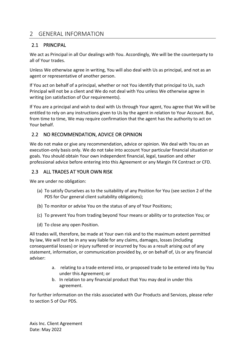# <span id="page-7-0"></span>2 GENERAL INFORMATION

## <span id="page-7-1"></span>2.1 PRINCIPAL

We act as Principal in all Our dealings with You. Accordingly, We will be the counterparty to all of Your trades.

Unless We otherwise agree in writing, You will also deal with Us as principal, and not as an agent or representative of another person.

If You act on behalf of a principal, whether or not You identify that principal to Us, such Principal will not be a client and We do not deal with You unless We otherwise agree in writing (on satisfaction of Our requirements).

If You are a principal and wish to deal with Us through Your agent, You agree that We will be entitled to rely on any instructions given to Us by the agent in relation to Your Account. But, from time to time, We may require confirmation that the agent has the authority to act on Your behalf.

## <span id="page-7-2"></span>2.2 NO RECOMMENDATION, ADVICE OR OPINION

We do not make or give any recommendation, advice or opinion. We deal with You on an execution-only basis only. We do not take into account Your particular financial situation or goals. You should obtain Your own independent financial, legal, taxation and other professional advice before entering into this Agreement or any Margin FX Contract or CFD.

## <span id="page-7-3"></span>2.3 ALL TRADES AT YOUR OWN RISK

We are under no obligation:

- (a) To satisfy Ourselves as to the suitability of any Position for You (see section 2 of the PDS for Our general client suitability obligations);
- (b) To monitor or advise You on the status of any of Your Positions;
- (c) To prevent You from trading beyond Your means or ability or to protection You; or
- (d) To close any open Position.

All trades will, therefore, be made at Your own risk and to the maximum extent permitted by law, We will not be in any way liable for any claims, damages, losses (including consequential losses) or injury suffered or incurred by You as a result arising out of any statement, information, or communication provided by, or on behalf of, Us or any financial adviser:

- a. relating to a trade entered into, or proposed trade to be entered into by You under this Agreement; or
- b. In relation to any financial product that You may deal in under this agreement.

For further information on the risks associated with Our Products and Services, please refer to section 5 of Our PDS.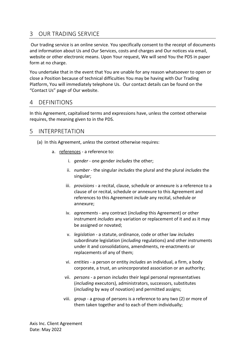# <span id="page-8-0"></span>3 OUR TRADING SERVICE

Our trading service is an online service. You specifically consent to the receipt of documents and information about Us and Our Services, costs and charges and Our notices via email, website or other electronic means. Upon Your request, We will send You the PDS in paper form at no charge.

You undertake that in the event that You are unable for any reason whatsoever to open or close a Position because of technical difficulties You may be having with Our Trading Platform, You will immediately telephone Us. Our contact details can be found on the "Contact Us" page of Our website.

# <span id="page-8-1"></span>4 DEFINITIONS

In this Agreement, capitalised terms and expressions have, unless the context otherwise requires, the meaning given to in the PDS.

# <span id="page-8-2"></span>5 INTERPRETATION

- (a) In this Agreement, *unless* the context otherwise requires:
	- a. references a reference to:
		- i. *gender* one gender *includes* the other;
		- ii. *number* the singular *includes* the plural and the plural *includes* the singular;
		- iii. *provisions* a recital, clause, schedule or annexure is a reference to a clause of or recital, schedule or annexure to this Agreement and references to this Agreement *include* any recital, schedule or annexure;
		- iv. *agreements* any contract (*including* this Agreement) or other instrument *includes* any variation or replacement of it and as it may be assigned or novated;
		- v. *legislation* a statute, ordinance, code or other law *includes* subordinate legislation (*including* regulations) and other instruments under it and consolidations, amendments, re-enactments or replacements of any of them;
		- vi. *entities* a person or entity *includes* an individual, a firm, a body corporate, a trust, an unincorporated association or an authority;
		- vii. *persons* a person *includes* their legal personal representatives (*including* executors), administrators, successors, substitutes (*including* by way of novation) and permitted assigns;
		- viii. *group* a group of persons is a reference to any two (2) or more of them taken together and to each of them individually;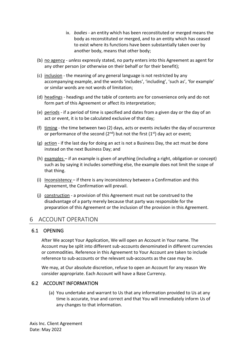- ix. *bodies* an entity which has been reconstituted or merged means the body as reconstituted or merged, and to an entity which has ceased to exist where its functions have been substantially taken over by another body, means that other body;
- (b) no agency *unless* expressly stated, no party enters into this Agreement as agent for any other person (or otherwise on their behalf or for their benefit);
- (c) inclusion the meaning of any general language is not restricted by any accompanying example, and the words 'includes', 'including', 'such as', 'for example' or similar words are not words of limitation;
- (d) headings headings and the table of contents are for convenience only and do not form part of this Agreement or affect its interpretation;
- (e) periods if a period of time is specified and dates from a given day or the day of an act or event, it is to be calculated exclusive of that day;
- (f) timing the time between two (2) days, acts or events *includes* the day of occurrence or performance of the second ( $2<sup>nd</sup>$ ) but not the first ( $1<sup>st</sup>$ ) day act or event;
- (g) action if the last day for doing an act is not a Business Day, the act must be done instead on the next Business Day; and
- (h) examples if an example is given of anything (including a right, obligation or concept) such as by saying it includes something else, the example does not limit the scope of that thing.
- (i) Inconsistency if there is any inconsistency between a Confirmation and this Agreement, the Confirmation will prevail.
- (j) construction a provision of this Agreement must not be construed to the disadvantage of a party merely because that party was responsible for the preparation of this Agreement or the inclusion of the provision in this Agreement.

# <span id="page-9-0"></span>6 ACCOUNT OPERATION

#### <span id="page-9-1"></span>6.1 OPENING

After We accept Your Application, We will open an Account in Your name. The Account may be split into different sub-accounts denominated in different currencies or commodities. Reference in this Agreement to Your Account are taken to include reference to sub-accounts or the relevant sub-accounts as the case may be.

We may, at Our absolute discretion, refuse to open an Account for any reason We consider appropriate. Each Account will have a Base Currency.

#### <span id="page-9-2"></span>6.2 ACCOUNT INFORMATION

(a) You undertake and warrant to Us that any information provided to Us at any time is accurate, true and correct and that You will immediately inform Us of any changes to that information.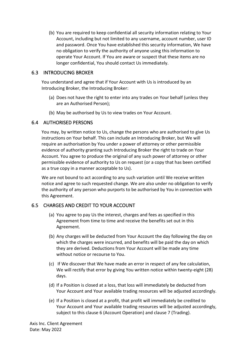(b) You are required to keep confidential all security information relating to Your Account, including but not limited to any username, account number, user ID and password. Once You have established this security information, We have no obligation to verify the authority of anyone using this information to operate Your Account. If You are aware or suspect that these items are no longer confidential, You should contact Us immediately.

#### <span id="page-10-0"></span>6.3 INTRODUCING BROKER

You understand and agree that if Your Account with Us is introduced by an Introducing Broker, the Introducing Broker:

- (a) Does not have the right to enter into any trades on Your behalf (unless they are an Authorised Person);
- (b) May be authorised by Us to view trades on Your Account.

## <span id="page-10-1"></span>6.4 AUTHORISED PERSONS

You may, by written notice to Us, change the persons who are authorised to give Us instructions on Your behalf. This can include an Introducing Broker, but We will require an authorisation by You under a power of attorney or other permissible evidence of authority granting such Introducing Broker the right to trade on Your Account. You agree to produce the original of any such power of attorney or other permissible evidence of authority to Us on request (or a copy that has been certified as a true copy in a manner acceptable to Us).

We are not bound to act according to any such variation until We receive written notice and agree to such requested change. We are also under no obligation to verify the authority of any person who purports to be authorised by You in connection with this Agreement.

# <span id="page-10-2"></span>6.5 CHARGES AND CREDIT TO YOUR ACCOUNT

- (a) You agree to pay Us the interest, charges and fees as specified in this Agreement from time to time and receive the benefits set out in this Agreement.
- (b) Any charges will be deducted from Your Account the day following the day on which the charges were incurred, and benefits will be paid the day on which they are derived. Deductions from Your Account will be made any time without notice or recourse to You.
- (c) If We discover that We have made an error in respect of any fee calculation, We will rectify that error by giving You written notice within twenty-eight (28) days.
- (d) If a Position is closed at a loss, that loss will immediately be deducted from Your Account and Your available trading resources will be adjusted accordingly.
- (e) If a Position is closed at a profit, that profit will immediately be credited to Your Account and Your available trading resources will be adjusted accordingly, subject to this clause 6 (Account Operation) and clause 7 (Trading).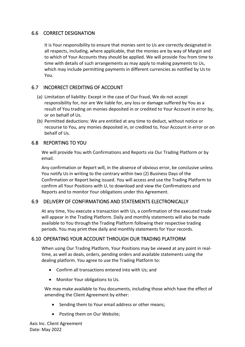## <span id="page-11-0"></span>6.6 CORRECT DESIGNATION

It is Your responsibility to ensure that monies sent to Us are correctly designated in all respects, including, where applicable, that the monies are by way of Margin and to which of Your Accounts they should be applied. We will provide You from time to time with details of such arrangements as may apply to making payments to Us, which may include permitting payments in different currencies as notified by Us to You.

## <span id="page-11-1"></span>6.7 INCORRECT CREDITING OF ACCOUNT

- (a) Limitation of liability: Except in the case of Our fraud, We do not accept responsibility for, nor are We liable for, any loss or damage suffered by You as a result of You trading on monies deposited in or credited to Your Account in error by, or on behalf of Us.
- (b) Permitted deductions: We are entitled at any time to deduct, without notice or recourse to You, any monies deposited in, or credited to, Your Account in error or on behalf of Us.

#### <span id="page-11-2"></span>6.8 REPORTING TO YOU

We will provide You with Confirmations and Reports via Our Trading Platform or by email.

Any confirmation or Report will, in the absence of obvious error, be conclusive unless You notify Us in writing to the contrary within two (2) Business Days of the Confirmation or Report being issued. You will access and use the Trading Platform to confirm all Your Positions with U, to download and view the Confirmations and Reports and to monitor Your obligations under this Agreement.

## <span id="page-11-3"></span>6.9 DELIVERY OF CONFIRMATIONS AND STATEMENTS ELECTRONICALLY

At any time, You execute a transaction with Us, a confirmation of the executed trade will appear in the Trading Platform. Daily and monthly statements will also be made available to You through the Trading Platform following their respective trading periods. You may print thee daily and monthly statements for Your records.

## <span id="page-11-4"></span>6.10 OPERATING YOUR ACCOUNT THROUGH OUR TRADING PLATFORM

When using Our Trading Platform, Your Positions may be viewed at any point in realtime, as well as deals, orders, pending orders and available statements using the dealing platform. You agree to use the Trading Platform to:

- Confirm all transactions entered into with Us; and
- Monitor Your obligations to Us.

We may make available to You documents, including those which have the effect of amending the Client Agreement by either:

- Sending them to Your email address or other means;
- Posting them on Our Website;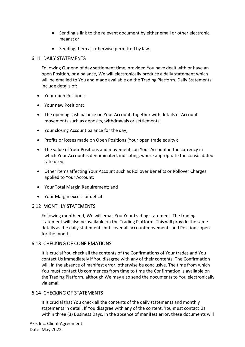- Sending a link to the relevant document by either email or other electronic means; or
- Sending them as otherwise permitted by law.

## <span id="page-12-0"></span>6.11 DAILY STATEMENTS

Following Our end of day settlement time, provided You have dealt with or have an open Position, or a balance, We will electronically produce a daily statement which will be emailed to You and made available on the Trading Platform. Daily Statements include details of:

- Your open Positions;
- Your new Positions;
- The opening cash balance on Your Account, together with details of Account movements such as deposits, withdrawals or settlements;
- Your closing Account balance for the day;
- Profits or losses made on Open Positions (Your open trade equity);
- The value of Your Positions and movements on Your Account in the currency in which Your Account is denominated, indicating, where appropriate the consolidated rate used;
- Other items affecting Your Account such as Rollover Benefits or Rollover Charges applied to Your Account;
- Your Total Margin Requirement; and
- Your Margin excess or deficit.

## <span id="page-12-1"></span>6.12 MONTHLY STATEMENTS

Following month end, We will email You Your trading statement. The trading statement will also be available on the Trading Platform. This will provide the same details as the daily statements but cover all account movements and Positions open for the month.

## <span id="page-12-2"></span>6.13 CHECKING OF CONFIRMATIONS

It is crucial You check all the contents of the Confirmations of Your trades and You contact Us immediately if You disagree with any of their contents. The Confirmation will, in the absence of manifest error, otherwise be conclusive. The time from which You must contact Us commences from time to time the Confirmation is available on the Trading Platform, although We may also send the documents to You electronically via email.

## <span id="page-12-3"></span>6.14 CHECKING OF STATEMENTS

It is crucial that You check all the contents of the daily statements and monthly statements in detail. If You disagree with any of the content, You must contact Us within three (3) Business Days. In the absence of manifest error, these documents will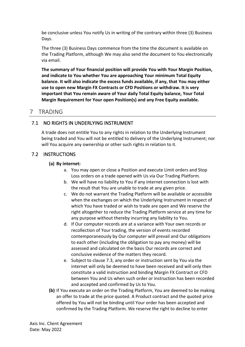be conclusive unless You notify Us in writing of the contrary within three (3) Business Days.

The three (3) Business Days commence from the time the document is available on the Trading Platform, although We may also send the document to You electronically via email.

**The summary of Your financial position will provide You with Your Margin Position, and indicate to You whether You are approaching Your minimum Total Equity balance. It will also indicate the excess funds available, if any, that You may either use to open new Margin FX Contracts or CFD Positions or withdraw. It is very important that You remain aware of Your daily Total Equity balance, Your Total Margin Requirement for Your open Position(s) and any Free Equity available.** 

# <span id="page-13-0"></span>7 TRADING

# <span id="page-13-1"></span>7.1 NO RIGHTS IN UNDERLYING INSTRUMENT

A trade does not entitle You to any rights in relation to the Underlying Instrument being traded and You will not be entitled to delivery of the Underlying Instrument; nor will You acquire any ownership or other such rights in relation to it.

# <span id="page-13-2"></span>7.2 INSTRUCTIONS

## **(a) By internet:**

- a. You may open or close a Position and execute Limit orders and Stop Loss orders on a trade opened with Us via Our Trading Platform.
- b. We will have no liability to You if any internet connection is lost with the result that You are unable to trade at any given price.
- c. We do not warrant the Trading Platform will be available or accessible when the exchanges on which the Underlying Instrument in respect of which You have traded or wish to trade are open and We reserve the right altogether to reduce the Trading Platform service at any time for any purpose without thereby incurring any liability to You.
- d. If Our computer records are at a variance with Your own records or recollection of Your trading, the version of events recorded contemporaneously by Our computer will prevail and Our obligations to each other (including the obligation to pay any money) will be assessed and calculated on the basis Our records are correct and conclusive evidence of the matters they record.
- e. Subject to clause [7.3,](#page-14-0) any order or instruction sent by You via the internet will only be deemed to have been received and will only then constitute a valid instruction and binding Margin FX Contract or CFD between You and Us when such order or instruction has been recorded and accepted and confirmed by Us to You.
- **(b)** If You execute an order on the Trading Platform, You are deemed to be making an offer to trade at the price quoted. A Product contract and the quoted price offered by You will not be binding until Your order has been accepted and confirmed by the Trading Platform. We reserve the right to decline to enter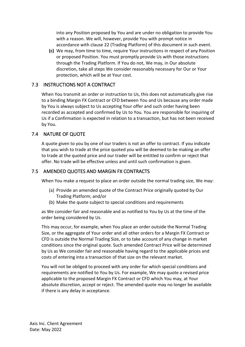into any Position proposed by You and are under no obligation to provide You with a reason. We will, however, provide You with prompt notice in accordance with clause [22](#page-42-1) (Trading Platform) of this document in such event.

**(c)** We may, from time to time, require Your instructions in respect of any Position or proposed Position. You must promptly provide Us with those instructions through the Trading Platform. If You do not, We may, in Our absolute discretion, take all steps We consider reasonably necessary for Our or Your protection, which will be at Your cost.

#### <span id="page-14-0"></span>7.3 INSTRUCTIONS NOT A CONTRACT

When You transmit an order or instruction to Us, this does not automatically give rise to a binding Margin FX Contract or CFD between You and Us because any order made by You is always subject to Us accepting Your offer and such order having been recorded as accepted and confirmed by Us to You. You are responsible for inquiring of Us if a Confirmation is expected in relation to a transaction, but has not been received by You.

#### <span id="page-14-1"></span>7.4 NATURE OF QUOTE

A quote given to you by one of our traders is not an offer to contract. If you indicate that you wish to trade at the price quoted you will be deemed to be making an offer to trade at the quoted price and our trader will be entitled to confirm or reject that offer. No trade will be effective unless and until such confirmation is given.

#### <span id="page-14-2"></span>7.5 AMENDED QUOTES AND MARGIN FX CONTRACTS

When You make a request to place an order outside the normal trading size, We may:

- (a) Provide an amended quote of the Contract Price originally quoted by Our Trading Platform; and/or
- (b) Make the quote subject to special conditions and requirements

as We consider fair and reasonable and as notified to You by Us at the time of the order being considered by Us.

This may occur, for example, when You place an order outside the Normal Trading Size, or the aggregate of Your order and all other orders for a Margin FX Contract or CFD is outside the Normal Trading Size, or to take account of any change in market conditions since the original quote. Such amended Contract Price will be determined by Us as We consider fair and reasonable having regard to the applicable prices and costs of entering into a transaction of that size on the relevant market.

You will not be obliged to proceed with any order for which special conditions and requirements are notified to You by Us. For example, We may quote a revised price applicable to the proposed Margin FX Contract or CFD which You may, at Your absolute discretion, accept or reject. The amended quote may no longer be available if there is any delay in acceptance.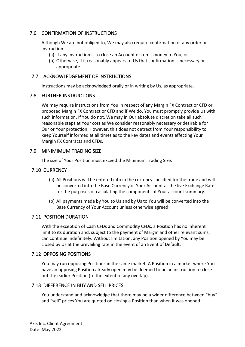## <span id="page-15-0"></span>7.6 CONFIRMATION OF INSTRUCTIONS

Although We are not obliged to, We may also require confirmation of any order or instruction:

- (a) If any instruction is to close an Account or remit money to You; or
- (b) Otherwise, if it reasonably appears to Us that confirmation is necessary or appropriate.

#### <span id="page-15-1"></span>7.7 ACKNOWLEDGEMENT OF INSTRUCTIONS

Instructions may be acknowledged orally or in writing by Us, as appropriate.

#### <span id="page-15-2"></span>7.8 FURTHER INSTRUCTIONS

We may require instructions from You in respect of any Margin FX Contract or CFD or proposed Margin FX Contract or CFD and if We do, You must promptly provide Us with such information. If You do not, We may in Our absolute discretion take all such reasonable steps at Your cost as We consider reasonably necessary or desirable for Our or Your protection. However, this does not detract from Your responsibility to keep Yourself informed at all times as to the key dates and events effecting Your Margin FX Contracts and CFDs.

#### <span id="page-15-3"></span>7.9 MINIMIMUM TRADING SIZE

The size of Your Position must exceed the Minimum Trading Size.

## <span id="page-15-4"></span>7.10 CURRENCY

- (a) All Positions will be entered into in the currency specified for the trade and will be converted into the Base Currency of Your Account at the live Exchange Rate for the purposes of calculating the components of Your account summary.
- (b) All payments made by You to Us and by Us to You will be converted into the Base Currency of Your Account unless otherwise agreed.

## <span id="page-15-5"></span>7.11 POSITION DURATION

With the exception of Cash CFDs and Commodity CFDs, a Position has no inherent limit to its duration and, subject to the payment of Margin and other relevant sums, can continue indefinitely. Without limitation, any Position opened by You may be closed by Us at the prevailing rate in the event of an Event of Default.

#### <span id="page-15-6"></span>7.12 OPPOSING POSITIONS

You may run opposing Positions in the same market. A Position in a market where You have an opposing Position already open may be deemed to be an instruction to close out the earlier Position (to the extent of any overlap).

## <span id="page-15-7"></span>7.13 DIFFERENCE IN BUY AND SELL PRICES

You understand and acknowledge that there may be a wider difference between "buy" and "sell" prices You are quoted on closing a Position than when it was opened.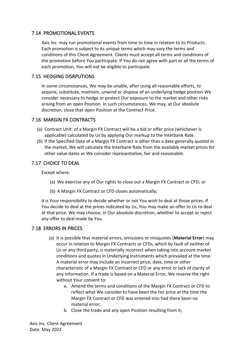## <span id="page-16-0"></span>7.14 PROMOTIONAL EVENTS

Axis Inc. may run promotional events from time to time in relation to its Products. Each promotion is subject to its unique terms which may vary the terms and conditions of this Client Agreement. Clients must accept all terms and conditions of the promotion before You participate. If You do not agree with part or all the terms of each promotion, You will not be eligible to participate.

## <span id="page-16-1"></span>7.15 HEDGING DISRPUTIONS

In some circumstances, We may be unable, after using all reasonable efforts, to acquire, substitute, maintain, unwind or dispose of an underlying hedge position We consider necessary to hedge or protect Our exposure to the market and other risks arising from an open Position. In such circumstances, We may, at Our absolute discretion, close that open Position at the Contract Price.

## <span id="page-16-2"></span>7.16 MARGIN FX CONTRACTS

- (a) Contract Unit: of a Margin FX Contract will be a bid or offer price (whichever is applicable) calculated by Us by applying Our markup to the Interbank Rate.
- (b) If the Specified Date of a Margin FX Contract is other than a date generally quoted in the market, We will calculate the Interbank Rate from the available market prices for other value dates as We consider representative, fair and reasonable.

## <span id="page-16-3"></span>7.17 CHOICE TO DEAL

Except where:

- (a) We exercise any of Our rights to close out a Margin FX Contract or CFD; or
- (b) A Margin FX Contract or CFD closes automatically;

it is Your responsibility to decide whether or not You wish to deal at those prices. If You decide to deal at the prices indicated by Us, You may make an offer to Us to deal at that price. We may choose, in Our absolute discretion, whether to accept or reject any offer to deal made by You.

## <span id="page-16-4"></span>7.18 ERRORS IN PRICES

- (a) It is possible that material errors, omissions or misquotes (**Material Error**) may occur in relation to Margin FX Contracts or CFDs, which by fault of neither of Us or any third party, is materially incorrect when taking into account market conditions and quotes in Underlying Instruments which prevailed at the time. A material error may include an incorrect price, date, time or other characteristic of a Margin FX Contract or CFD or any error or lack of clarity of any information. If a trade is based on a Material Error, We reserve the right without Your consent to:
	- a. Amend the terms and conditions of the Margin FX Contract or CFD to reflect what We consider to have been the fair price at the time the Margin FX Contract or CFD was entered into had there been no material error;
	- b. Close the trade and any open Position resulting from it;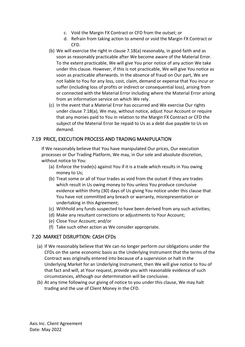- c. Void the Margin FX Contract or CFD from the outset; or
- d. Refrain from taking action to amend or void the Margin FX Contract or CFD.
- (b) We will exercise the right in clause [7.18\(](#page-16-4)a) reasonably, in good faith and as soon as reasonably practicable after We become aware of the Material Error. To the extent practicable, We will give You prior notice of any action We take under this clause. However, if this is not practicable, We will give You notice as soon as practicable afterwards. In the absence of fraud on Our part, We are not liable to You for any loss, cost, claim, demand or expense that You incur or suffer (including loss of profits or indirect or consequential loss), arising from or connected with the Material Error including where the Material Error arising from an information service on which We rely.
- (c) In the event that a Material Error has occurred and We exercise Our rights under clause [7.18\(](#page-16-4)a), We may, without notice, adjust Your Account or require that any monies paid to You in relation to the Margin FX Contract or CFD the subject of the Material Error be repaid to Us as a debt due payable to Us on demand.

#### <span id="page-17-0"></span>7.19 PRICE, EXECUTION PROCESS AND TRADING MANIPULATION

If We reasonably believe that You have manipulated Our prices, Our execution processes or Our Trading Platform, We may, in Our sole and absolute discretion, without notice to You:

- (a) Enforce the trade(s) against You if it is a trade which results in You owing money to Us;
- (b) Treat some or all of Your trades as void from the outset if they are trades which result in Us owing money to You unless You produce conclusive evidence within thirty (30) days of Us giving You notice under this clause that You have not committed any breach or warranty, misrepresentation or undertaking in this Agreement;
- (c) Withhold any funds suspected to have been derived from any such activities;
- (d) Make any resultant corrections or adjustments to Your Account;
- (e) Close Your Account; and/or
- (f) Take such other action as We consider appropriate.

#### <span id="page-17-1"></span>7.20 MARKET DISRUPTION: CASH CFDs

- (a) If We reasonably believe that We can no longer perform our obligations under the CFDs on the same economic basis as the Underlying Instrument that the terms of the Contract was originally entered into because of a supervision or halt in the Underlying Market for an Underlying Instrument, then We will give notice to You of that fact and will, at Your request, provide you with reasonable evidence of such circumstances, although our determination will be conclusive.
- (b) At any time following our giving of notice to you under this clause, We may halt trading and the use of Client Money in the CFD.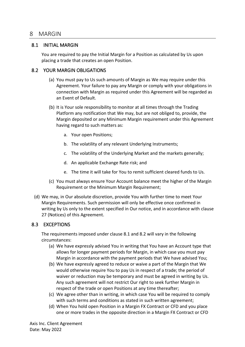## <span id="page-18-0"></span>8 MARGIN

#### <span id="page-18-1"></span>8.1 INITIAL MARGIN

You are required to pay the Initial Margin for a Position as calculated by Us upon placing a trade that creates an open Position.

#### <span id="page-18-2"></span>8.2 YOUR MARGIN OBLIGATIONS

- (a) You must pay to Us such amounts of Margin as We may require under this Agreement. Your failure to pay any Margin or comply with your obligations in connection with Margin as required under this Agreement will be regarded as an Event of Default.
- (b) It is Your sole responsibility to monitor at all times through the Trading Platform any notification that We may, but are not obliged to, provide, the Margin deposited or any Minimum Margin requirement under this Agreement having regard to such matters as:
	- a. Your open Positions;
	- b. The volatility of any relevant Underlying Instruments;
	- c. The volatility of the Underlying Market and the markets generally;
	- d. An applicable Exchange Rate risk; and
	- e. The time it will take for You to remit sufficient cleared funds to Us.
- (c) You must always ensure Your Account balance meet the higher of the Margin Requirement or the Minimum Margin Requirement;
- (d) We may, in Our absolute discretion, provide You with further time to meet Your Margin Requirements. Such permission will only be effective once confirmed in writing by Us only to the extent specified in Our notice, and in accordance with clause 27 (Notices) of this Agreement.

## <span id="page-18-3"></span>8.3 EXCEPTIONS

The requirements imposed under clause 8.1 and 8.2 will vary in the following circumstances:

- (a) We have expressly advised You in writing that You have an Account type that allows for longer payment periods for Margin, in which case you must pay Margin in accordance with the payment periods that We have advised You;
- (b) We have expressly agreed to reduce or waive a part of the Margin that We would otherwise require You to pay Us in respect of a trade; the period of waiver or reduction may be temporary and must be agreed in writing by Us. Any such agreement will not restrict Our right to seek further Margin in respect of the trade or open Positions at any time thereafter;
- (c) We agree other than in writing, in which case You will be required to comply with such terms and conditions as stated in such written agreement;
- (d) When You hold open Position in a Margin FX Contract or CFD and you place one or more trades in the opposite direction in a Margin FX Contract or CFD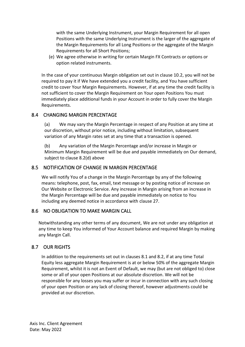with the same Underlying Instrument, your Margin Requirement for all open Positions with the same Underlying Instrument is the larger of the aggregate of the Margin Requirements for all Long Positions or the aggregate of the Margin Requirements for all Short Positions;

(e) We agree otherwise in writing for certain Margin FX Contracts or options or option related instruments.

In the case of your continuous Margin obligation set out in clause 10.2, you will not be required to pay it if We have extended you a credit facility, and You have sufficient credit to cover Your Margin Requirements. However, if at any time the credit facility is not sufficient to cover the Margin Requirement on Your open Positions You must immediately place additional funds in your Account in order to fully cover the Margin Requirements.

## <span id="page-19-0"></span>8.4 CHANGING MARGIN PERCENTAGE

(a) We may vary the Margin Percentage in respect of any Position at any time at our discretion, without prior notice, including without limitation, subsequent variation of any Margin rates set at any time that a transaction is opened.

(b) Any variation of the Margin Percentage and/or increase in Margin or Minimum Margin Requirement will be due and payable immediately on Our demand, subject to clause 8.2(d) above

## <span id="page-19-1"></span>8.5 NOTIFICATION OF CHANGE IN MARGIN PERCENTAGE

We will notify You of a change in the Margin Percentage by any of the following means: telephone, post, fax, email, text message or by posting notice of increase on Our Website or Electronic Service. Any increase in Margin arising from an increase in the Margin Percentage will be due and payable immediately on notice to You including any deemed notice in accordance with clause 27.

## <span id="page-19-2"></span>8.6 NO OBLIGATION TO MAKE MARGIN CALL

Notwithstanding any other terms of any document, We are not under any obligation at any time to keep You informed of Your Account balance and required Margin by making any Margin Call.

# <span id="page-19-3"></span>8.7 OUR RIGHTS

In addition to the requirements set out in clauses 8.1 and 8.2, if at any time Total Equity less aggregate Margin Requirement is at or below 50% of the aggregate Margin Requirement, whilst it is not an Event of Default, we may (but are not obliged to) close some or all of your open Positions at our absolute discretion. We will not be responsible for any losses you may suffer or incur in connection with any such closing of your open Position or any lack of closing thereof, however adjustments could be provided at our discretion.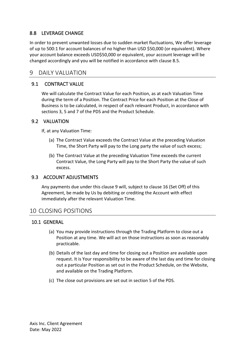## <span id="page-20-0"></span>8.8 LEVERAGE CHANGE

In order to prevent unwanted losses due to sudden market fluctuations, We offer leverage of up to 500:1 for account balances of no higher than USD \$50,000 (or equivalent). Where your account balance exceeds USD\$50,000 or equivalent, your account leverage will be changed accordingly and you will be notified in accordance with clause 8.5.

# <span id="page-20-1"></span>9 DAILY VALUATION

## 9.1 CONTRACT VALUE

<span id="page-20-2"></span>We will calculate the Contract Value for each Position, as at each Valuation Time during the term of a Position. The Contract Price for each Position at the Close of Business is to be calculated, in respect of each relevant Product, in accordance with sections 3, 5 and 7 of the PDS and the Product Schedule.

#### <span id="page-20-3"></span>9.2 VALUATION

If, at any Valuation Time:

- (a) The Contract Value exceeds the Contract Value at the preceding Valuation Time, the Short Party will pay to the Long party the value of such excess;
- (b) The Contract Value at the preceding Valuation Time exceeds the current Contract Value, the Long Party will pay to the Short Party the value of such excess.

#### <span id="page-20-4"></span>9.3 ACCOUNT ADJUSTMENTS

Any payments due under this clause 9 will, subject to clause [16](#page-35-2) (Set Off) of this Agreement, be made by Us by debiting or crediting the Account with effect immediately after the relevant Valuation Time.

# <span id="page-20-5"></span>10 CLOSING POSITIONS

#### <span id="page-20-6"></span>10.1 GENERAL

- (a) You may provide instructions through the Trading Platform to close out a Position at any time. We will act on those instructions as soon as reasonably practicable.
- (b) Details of the last day and time for closing out a Position are available upon request. It is Your responsibility to be aware of the last day and time for closing out a particular Position as set out in the Product Schedule, on the Website, and available on the Trading Platform.
- (c) The close out provisions are set out in section 5 of the PDS.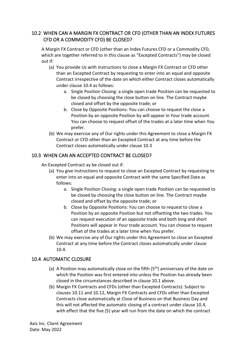# <span id="page-21-0"></span>10.2 WHEN CAN A MARGIN FX CONTRACT OR CFD (OTHER THAN AN INDEX FUTURES CFD OR A COMMODITY CFD) BE CLOSED?

A Margin FX Contract or CFD (other than an Index Futures CFD or a Commodity CFD, which are together referred to in this clause as "Excepted Contracts") may be closed out if:

- (a) You provide Us with instructions to close a Margin FX Contract or CFD other than an Excepted Contract by requesting to enter into an equal and opposite Contract irrespective of the date on which either Contract closes automatically under clause 10.4 as follows:
	- a. Single Position Closing: a single open trade Position can be requested to be closed by choosing the close button on line. The Contract maybe closed and offset by the opposite trade; or
	- b. Close by Opposite Positions: You can choose to request the close a Position by an opposite Position by will appear in Your trade account. You can choose to request offset of the trades at a later time when You prefer.
- (b) We may exercise any of Our rights under this Agreement to close a Margin FX Contract or CFD other than an Excepted Contract at any time before the Contract closes automatically under clause 10.3

## <span id="page-21-1"></span>10.3 WHEN CAN AN ACCEPTED CONTRACT BE CLOSED?

An Excepted Contract ay be closed out if:

- (a) You give instructions to request to close an Excepted Contract by requesting to enter into an equal and opposite Contract with the same Specified Date as follows:
	- a. Single Position Closing: a single open trade Position can be requested to be closed by choosing the close button on line. The Contract maybe closed and offset by the opposite trade; or
	- b. Close by Opposite Positions: You can choose to request to close a Position by an opposite Position but not offsetting the two trades. You can request execution of an opposite trade and both long and short Positions will appear in Your trade account. You can choose to request offset of the trades at a later time when You prefer.
- (b) We may exercise any of Our rights under this Agreement to close an Excepted Contract at any time before the Contract closes automatically under clause 10.4.

## <span id="page-21-2"></span>10.4 AUTOMATIC CLOSURE

- (a) A Position may automatically close on the fifth  $(5<sup>th</sup>)$  anniversary of the date on which the Position was first entered into unless the Position has already been closed in the circumstances described in clause 10.1 above.
- (b) Margin FX Contracts and CFDs (other than Excepted Contracts): Subject to clauses 10.11 and 10.12, Margin FX Contracts and CFDs other than Excepted Contracts close automatically at Close of Business on that Business Day and this will not affected the automatic closing of a contract under clause 10.4, with effect that the five (5) year will run from the date on which the contract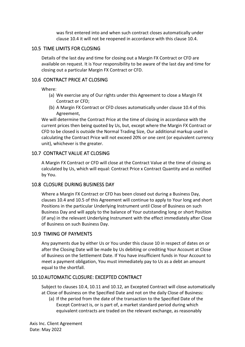was first entered into and when such contract closes automatically under clause 10.4 it will not be reopened in accordance with this clause 10.4.

#### <span id="page-22-0"></span>10.5 TIME LIMITS FOR CLOSING

Details of the last day and time for closing out a Margin FX Contract or CFD are available on request. It is Your responsibility to be aware of the last day and time for closing out a particular Margin FX Contract or CFD.

#### <span id="page-22-1"></span>10.6 CONTRACT PRICE AT CLOSING

Where:

- (a) We exercise any of Our rights under this Agreement to close a Margin FX Contract or CFD;
- (b) A Margin FX Contract or CFD closes automatically under clause 10.4 of this Agreement,

We will determine the Contract Price at the time of closing in accordance with the current prices then being quoted by Us, but, except where the Margin FX Contract or CFD to be closed is outside the Normal Trading Size, Our additional markup used in calculating the Contract Price will not exceed 20% or one cent (or equivalent currency unit), whichever is the greater.

#### <span id="page-22-2"></span>10.7 CONTRACT VALUE AT CLOSING

A Margin FX Contract or CFD will close at the Contract Value at the time of closing as calculated by Us, which will equal: Contract Price x Contract Quantity and as notified by You.

## <span id="page-22-3"></span>10.8 CLOSURE DURING BUSINESS DAY

Where a Margin FX Contract or CFD has been closed out during a Business Day, clauses 10.4 and 10.5 of this Agreement will continue to apply to Your long and short Positions in the particular Underlying Instrument until Close of Business on such Business Day and will apply to the balance of Your outstanding long or short Position (if any) in the relevant Underlying Instrument with the effect immediately after Close of Business on such Business Day.

## <span id="page-22-4"></span>10.9 TIMING OF PAYMENTS

Any payments due by either Us or You under this clause 10 in respect of dates on or after the Closing Date will be made by Us debiting or crediting Your Account at Close of Business on the Settlement Date. If You have insufficient funds in Your Account to meet a payment obligation, You must immediately pay to Us as a debt an amount equal to the shortfall.

## <span id="page-22-5"></span>10.10 AUTOMATIC CLOSURE: EXCEPTED CONTRACT

Subject to clauses 10.4, 10.11 and 10.12, an Excepted Contract will close automatically at Close of Business on the Specified Date and not on the daily Close of Business:

(a) If the period from the date of the transaction to the Specified Date of the Except Contract is, or is part of, a market standard period during which equivalent contracts are traded on the relevant exchange, as reasonably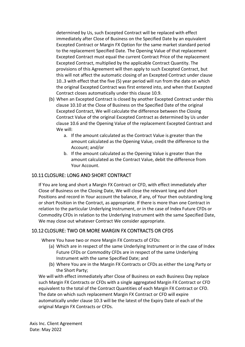determined by Us, such Excepted Contract will be replaced with effect immediately after Close of Business on the Specified Date by an equivalent Excepted Contract or Margin FX Option for the same market standard period to the replacement Specified Date. The Opening Value of that replacement Excepted Contract must equal the current Contract Price of the replacement Excepted Contract, multiplied by the applicable Contract Quantity. The provisions of this Agreement will then apply to such Excepted Contract, but this will not affect the automatic closing of an Excepted Contract under clause 10..3 with effect that the five (5) year period will run from the date on which the original Excepted Contract was first entered into, and when that Excepted Contract closes automatically under this clause 10.9.

- (b) When an Excepted Contract is closed by another Excepted Contract under this clause 10.10 at the Close of Business on the Specified Date of the original Excepted Contract, We will calculate the difference between the Closing Contract Value of the original Excepted Contract as determined by Us under clause 10.6 and the Opening Value of the replacement Excepted Contract and We will:
	- a. If the amount calculated as the Contract Value is greater than the amount calculated as the Opening Value, credit the difference to the Account; and/or
	- b. If the amount calculated as the Opening Value is greater than the amount calculated as the Contract Value, debit the difference from Your Account.

## <span id="page-23-0"></span>10.11 CLOSURE: LONG AND SHORT CONTRACT

If You are long and short a Margin FX Contract or CFD, with effect immediately after Close of Business on the Closing Date, We will close the relevant long and short Positions and record in Your account the balance, if any, of Your then outstanding long or short Position in the Contract, as appropriate. If there is more than one Contract in relation to the particular Underlying Instrument, or in the case of Index Future CFDs or Commodity CFDs in relation to the Underlying Instrument with the same Specified Date, We may close out whatever Contract We consider appropriate.

## <span id="page-23-1"></span>10.12 CLOSURE: TWO OR MORE MARGIN FX CONTRACTS OR CFDS

Where You have two or more Margin FX Contracts of CFDs:

- (a) Which are in respect of the same Underlying Instrument or in the case of Index Future CFDs or Commodity CFDs are in respect of the same Underlying Instrument with the same Specified Date; and
- (b) Where You are in the Margin FX Contracts or CFDs as either the Long Party or the Short Party;

We will with effect immediately after Close of Business on each Business Day replace such Margin FX Contracts or CFDs with a single aggregated Margin FX Contract or CFD equivalent to the total of the Contract Quantities of each Margin FX Contract or CFD. The date on which such replacement Margin FX Contract or CFD will expire automatically under clause 10.3 will be the latest of the Expiry Date of each of the original Margin FX Contracts or CFDs.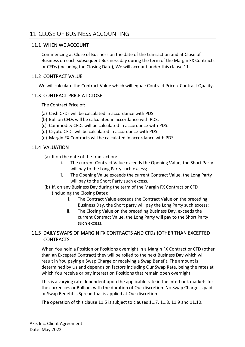## <span id="page-24-1"></span><span id="page-24-0"></span>11.1 WHEN WE ACCOUNT

Commencing at Close of Business on the date of the transaction and at Close of Business on each subsequent Business day during the term of the Margin FX Contracts or CFDs (including the Closing Date), We will account under this clause 11.

## <span id="page-24-2"></span>11.2 CONTRACT VALUE

We will calculate the Contract Value which will equal: Contract Price x Contract Quality.

## <span id="page-24-3"></span>11.3 CONTRACT PRICE AT CLOSE

The Contract Price of:

- (a) Cash CFDs will be calculated in accordance with PDS.
- (b) Bullion CFDs will be calculated in accordance with PDS.
- (c) Commodity CFDs will be calculated in accordance with PDS.
- (d) Crypto CFDs will be calculated in accordance with PDS.
- (e) Margin FX Contracts will be calculated in accordance with PDS.

# <span id="page-24-4"></span>11.4 VALUATION

- (a) If on the date of the transaction:
	- i. The current Contract Value exceeds the Opening Value, the Short Party will pay to the Long Party such excess;
	- ii. The Opening Value exceeds the current Contract Value, the Long Party will pay to the Short Party such excess.
- (b) If, on any Business Day during the term of the Margin FX Contract or CFD (including the Closing Date):
	- i. The Contract Value exceeds the Contract Value on the preceding Business Day, the Short party will pay the Long Party such excess;
	- ii. The Closing Value on the preceding Business Day, exceeds the current Contract Value, the Long Party will pay to the Short Party such excess.

# <span id="page-24-5"></span>11.5 DAILY SWAPS OF MARGIN FX CONTRACTS AND CFDs (OTHER THAN EXCEPTED **CONTRACTS**

When You hold a Position or Positions overnight in a Margin FX Contract or CFD (other than an Excepted Contract) they will be rolled to the next Business Day which will result in You paying a Swap Charge or receiving a Swap Benefit. The amount is determined by Us and depends on factors including Our Swap Rate, being the rates at which You receive or pay interest on Positions that remain open overnight.

This is a varying rate dependent upon the applicable rate in the interbank markets for the currencies or Bullion, with the duration of Our discretion. No Swap Charge is paid or Swap Benefit is Spread that is applied at Our discretion.

The operation of this clause 11.5 is subject to clauses 11.7, 11.8, 11.9 and 11.10.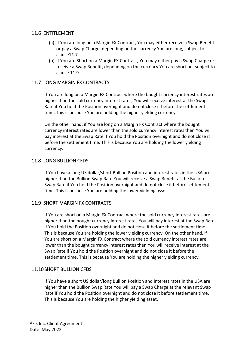## <span id="page-25-0"></span>11.6 ENTITLEMENT

- (a) If You are long on a Margin FX Contract, You may either receive a Swap Benefit or pay a Swap Charge, depending on the currency You are long, subject to clause11.7.
- (b) If You are Short on a Margin FX Contract, You may either pay a Swap Charge or receive a Swap Benefit, depending on the currency You are short on, subject to clause 11.9.

## <span id="page-25-1"></span>11.7 LONG MARGIN FX CONTRACTS

If You are long on a Margin FX Contract where the bought currency interest rates are higher than the sold currency interest rates, You will receive interest at the Swap Rate if You hold the Position overnight and do not close it before the settlement time. This is because You are holding the higher yielding currency.

On the other hand, if You are long on a Margin FX Contract where the bought currency interest rates are lower than the sold currency interest rates then You will pay interest at the Swap Rate if You hold the Position overnight and do not close it before the settlement time. This is because You are holding the lower yielding currency.

#### <span id="page-25-2"></span>11.8 LONG BULLION CFDS

If You have a long US dollar/short Bullion Position and interest rates in the USA are higher than the Bullion Swap Rate You will receive a Swap Benefit at the Bullion Swap Rate if You hold the Position overnight and do not close it before settlement time. This is because You are holding the lower yielding asset.

## <span id="page-25-3"></span>11.9 SHORT MARGIN FX CONTRACTS

If You are short on a Margin FX Contract where the sold currency interest rates are higher than the bought currency interest rates You will pay interest at the Swap Rate if You hold the Position overnight and do not close it before the settlement time. This is because You are holding the lower yielding currency. On the other hand, if You are short on a Margin FX Contract where the sold currency interest rates are lower than the bought currency interest rates then You will receive interest at the Swap Rate if You hold the Position overnight and do not close it before the settlement time. This is because You are holding the higher yielding currency.

## <span id="page-25-4"></span>11.10 SHORT BULLION CFDS

If You have a short US dollar/long Bullion Position and interest rates in the USA are higher than the Bullion Swap Rate You will pay a Swap Charge at the relevant Swap Rate if You hold the Position overnight and do not close it before settlement time. This is because You are holding the higher yielding asset.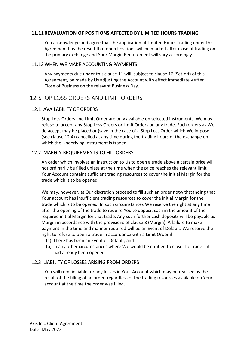#### <span id="page-26-0"></span>**11.11REVALUATION OF POSITIONS AFFECTED BY LIMITED HOURS TRADING**

You acknowledge and agree that the application of Limited Hours Trading under this Agreement has the result that open Positions will be marked after close of trading on the primary exchange and Your Margin Requirement will vary accordingly.

#### <span id="page-26-1"></span>11.12 WHEN WE MAKE ACCOUNTING PAYMENTS

Any payments due under this clause 11 will, subject to claus[e 16](#page-35-2) (Set-off) of this Agreement, be made by Us adjusting the Account with effect immediately after Close of Business on the relevant Business Day.

# <span id="page-26-2"></span>12 STOP LOSS ORDERS AND LIMIT ORDERS

#### <span id="page-26-3"></span>12.1 AVAILABILITY OF ORDERS

Stop Loss Orders and Limit Order are only available on selected instruments. We may refuse to accept any Stop Loss Orders or Limit Orders on any trade. Such orders as We do accept may be placed or (save in the case of a Stop Loss Order which We impose (see clause 12.4) cancelled at any time during the trading hours of the exchange on which the Underlying Instrument is traded.

#### <span id="page-26-4"></span>12.2 MARGIN REQUIREMENTS TO FILL ORDERS

An order which involves an instruction to Us to open a trade above a certain price will not ordinarily be filled unless at the time when the price reaches the relevant limit Your Account contains sufficient trading resources to cover the initial Margin for the trade which is to be opened.

We may, however, at Our discretion proceed to fill such an order notwithstanding that Your account has insufficient trading resources to cover the initial Margin for the trade which is to be opened. In such circumstances We reserve the right at any time after the opening of the trade to require You to deposit cash in the amount of the required initial Margin for that trade. Any such further cash deposits will be payable as Margin in accordance with the provisions of clause [8](#page-18-0) (Margin). A failure to make payment in the time and manner required will be an Event of Default. We reserve the right to refuse to open a trade in accordance with a Limit Order if:

- (a) There has been an Event of Default; and
- (b) In any other circumstances where We would be entitled to close the trade if it had already been opened.

#### <span id="page-26-5"></span>12.3 LIABILITY OF LOSSES ARISING FROM ORDERS

You will remain liable for any losses in Your Account which may be realised as the result of the filling of an order, regardless of the trading resources available on Your account at the time the order was filled.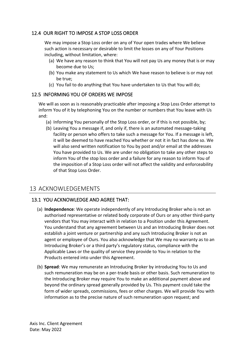## <span id="page-27-0"></span>12.4 OUR RIGHT TO IMPOSE A STOP LOSS ORDER

We may impose a Stop Loss order on any of Your open trades where We believe such action is necessary or desirable to limit the losses on any of Your Positions including, without limitation, where:

- (a) We have any reason to think that You will not pay Us any money that is or may become due to Us;
- (b) You make any statement to Us which We have reason to believe is or may not be true;
- (c) You fail to do anything that You have undertaken to Us that You will do;

## <span id="page-27-1"></span>12.5 INFORMING YOU OF ORDERS WE IMPOSE

We will as soon as is reasonably practicable after imposing a Stop Loss Order attempt to inform You of it by telephoning You on the number or numbers that You leave with Us and:

- (a) Informing You personally of the Stop Loss order, or if this is not possible, by;
- (b) Leaving You a message if, and only if, there is an automated message-taking facility or person who offers to take such a message for You. If a message is left, it will be deemed to have reached You whether or not it in fact has done so. We will also send written notification to You by post and/or email at the addresses You have provided to Us. We are under no obligation to take any other steps to inform You of the stop loss order and a failure for any reason to inform You of the imposition of a Stop Loss order will not affect the validity and enforceability of that Stop Loss Order.

# <span id="page-27-2"></span>13 ACKNOWLEDGEMENTS

# <span id="page-27-3"></span>13.1 YOU ACKNOWLEDGE AND AGREE THAT:

- (a) **Independence**: We operate independently of any Introducing Broker who is not an authorised representative or related body corporate of Ours or any other third-party vendors that You may interact with in relation to a Position under this Agreement. You understand that any agreement between Us and an Introducing Broker does not establish a joint venture or partnership and any such Introducing Broker is not an agent or employee of Ours. You also acknowledge that We may no warranty as to an Introducing Broker's or a third party's regulatory status, compliance with the Applicable Laws or the quality of service they provide to You in relation to the Products entered into under this Agreement.
- (b) **Spread**: We may remunerate an Introducing Broker by introducing You to Us and such remuneration may be on a per-trade basis or other basis. Such remuneration to the Introducing Broker may require You to make an additional payment above and beyond the ordinary spread generally provided by Us. This payment could take the form of wider spreads, commissions, fees or other charges. We will provide You with information as to the precise nature of such remuneration upon request; and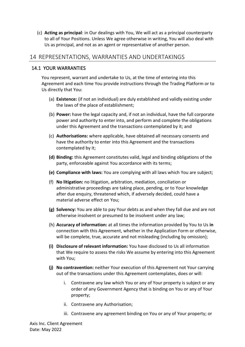(c) **Acting as principal**: in Our dealings with You, We will act as a principal counterparty to all of Your Positions. Unless We agree otherwise in writing, You will also deal with Us as principal, and not as an agent or representative of another person.

# <span id="page-28-0"></span>14 REPRESENTATIONS, WARRANTIES AND UNDERTAKINGS

## <span id="page-28-1"></span>14.1 YOUR WARRANTIES

You represent, warrant and undertake to Us, at the time of entering into this Agreement and each time You provide instructions through the Trading Platform or to Us directly that You:

- (a) **Existence:** (if not an individual) are duly established and validly existing under the laws of the place of establishment;
- (b) **Power:** have the legal capacity and, if not an individual, have the full corporate power and authority to enter into, and perform and complete the obligations under this Agreement and the transactions contemplated by it; and
- (c) **Authorisations:** where applicable, have obtained all necessary consents and have the authority to enter into this Agreement and the transactions contemplated by it;
- **(d) Binding:** this Agreement constitutes valid, legal and binding obligations of the party, enforceable against You accordance with its terms;
- **(e) Compliance with laws:** You are complying with all laws which You are subject;
- (f) **No litigation:** no litigation, arbitration, mediation, conciliation or administrative proceedings are taking place, pending, or to Your knowledge after due enquiry, threatened which, if adversely decided, could have a material adverse effect on You;
- **(g) Solvency:** You are able to pay Your debts as and when they fall due and are not otherwise insolvent or presumed to be insolvent under any law;
- (h) **Accuracy of information:** at all times the information provided by You to Us **in**  connection with this Agreement, whether in the Application Form or otherwise, will be complete, true, accurate and not misleading (including by omission);
- **(i) Disclosure of relevant information:** You have disclosed to Us all information that We require to assess the risks We assume by entering into this Agreement with You;
- **(j) No contravention:** neither Your execution of this Agreement not Your carrying out of the transactions under this Agreement contemplates, does or will:
	- i. Contravene any law which You or any of Your property is subject or any order of any Government Agency that is binding on You or any of Your property;
	- ii. Contravene any Authorisation;
	- iii. Contravene any agreement binding on You or any of Your property; or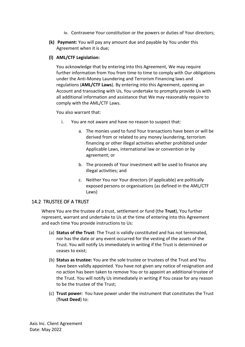- iv. Contravene Your constitution or the powers or duties of Your directors;
- **(k) Payment:** You will pay any amount due and payable by You under this Agreement when it is due;

#### **(l) AML/CTF Legislation:**

You acknowledge that by entering into this Agreement, We may require further information from You from time to time to comply with Our obligations under the Anti-Money Laundering and Terrorism Financing laws and regulations (**AML/CTF Laws**). By entering into this Agreement, opening an Account and transacting with Us, You undertake to promptly provide Us with all additional information and assistance that We may reasonably require to comply with the AML/CTF Laws.

You also warrant that:

- i. You are not aware and have no reason to suspect that:
	- a. The monies used to fund Your transactions have been or will be derived from or related to any money laundering, terrorism financing or other illegal activities whether prohibited under Applicable Laws, international law or convention or by agreement; or
	- b. The proceeds of Your investment will be used to finance any illegal activities; and
	- c. Neither You nor Your directors (if applicable) are politically exposed persons or organisations (as defined in the AML/CTF Laws)

#### <span id="page-29-0"></span>14.2 TRUSTEE OF A TRUST

Where You are the trustee of a trust, settlement or fund (the **Trust**), You further represent, warrant and undertake to Us at the time of entering into this Agreement and each time You provide instructions to Us:

- (a) **Status of the Trust**: The Trust is validly constituted and has not terminated, nor has the date or any event occurred for the vesting of the assets of the Trust. You will notify Us immediately in writing if the Trust is determined or ceases to exist;
- (b) **Status as trustee:** You are the sole trustee or trustees of the Trust and You have been validly appointed. You have not given any notice of resignation and no action has been taken to remove You or to appoint an additional trustee of the Trust. You will notify Us immediately in writing if You cease for any reason to be the trustee of the Trust;
- (c) **Trust power:** You have power under the instrument that constitutes the Trust (**Trust Deed**) to: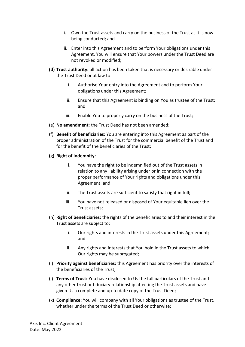- i. Own the Trust assets and carry on the business of the Trust as it is now being conducted; and
- ii. Enter into this Agreement and to perform Your obligations under this Agreement. You will ensure that Your powers under the Trust Deed are not revoked or modified;
- **(d) Trust authority:** all action has been taken that is necessary or desirable under the Trust Deed or at law to:
	- i. Authorise Your entry into the Agreement and to perform Your obligations under this Agreement;
	- ii. Ensure that this Agreement is binding on You as trustee of the Trust; and
	- iii. Enable You to properly carry on the business of the Trust;
- (e) **No amendment**: the Trust Deed has not been amended;
- (f) **Benefit of beneficiaries:** You are entering into this Agreement as part of the proper administration of the Trust for the commercial benefit of the Trust and for the benefit of the beneficiaries of the Trust;
- **(g) Right of indemnity:** 
	- i. You have the right to be indemnified out of the Trust assets in relation to any liability arising under or in connection with the proper performance of Your rights and obligations under this Agreement; and
	- ii. The Trust assets are sufficient to satisfy that right in full;
	- iii. You have not released or disposed of Your equitable lien over the Trust assets;
- (h) **Right of beneficiaries:** the rights of the beneficiaries to and their interest in the Trust assets are subject to:
	- i. Our rights and interests in the Trust assets under this Agreement; and
	- ii. Any rights and interests that You hold in the Trust assets to which Our rights may be subrogated;
- (i) **Priority against beneficiaries:** this Agreement has priority over the interests of the beneficiaries of the Trust;
- (j) **Terms of Trust:** You have disclosed to Us the full particulars of the Trust and any other trust or fiduciary relationship affecting the Trust assets and have given Us a complete and up-to date copy of the Trust Deed;
- (k) **Compliance:** You will company with all Your obligations as trustee of the Trust, whether under the terms of the Trust Deed or otherwise;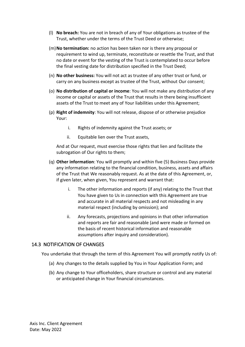- (l) **No breach:** You are not in breach of any of Your obligations as trustee of the Trust, whether under the terms of the Trust Deed or otherwise;
- (m)**No termination:** no action has been taken nor is there any proposal or requirement to wind up, terminate, reconstitute or resettle the Trust, and that no date or event for the vesting of the Trust is contemplated to occur before the final vesting date for distribution specified in the Trust Deed;
- (n) **No other business:** You will not act as trustee of any other trust or fund, or carry on any business except as trustee of the Trust, without Our consent;
- (o) **No distribution of capital or income**: You will not make any distribution of any income or capital or assets of the Trust that results in there being insufficient assets of the Trust to meet any of Your liabilities under this Agreement;
- (p) **Right of indemnity**: You will not release, dispose of or otherwise prejudice Your:
	- i. Rights of indemnity against the Trust assets; or
	- ii. Equitable lien over the Trust assets,

And at Our request, must exercise those rights that lien and facilitate the subrogation of Our rights to them;

- (q) **Other information**: You will promptly and within five (5) Business Days provide any information relating to the financial condition, business, assets and affairs of the Trust that We reasonably request. As at the date of this Agreement, or, if given later, when given, You represent and warrant that:
	- i. The other information and reports (if any) relating to the Trust that You have given to Us in connection with this Agreement are true and accurate in all material respects and not misleading in any material respect (including by omission); and
	- ii. Any forecasts, projections and opinions in that other information and reports are fair and reasonable (and were made or formed on the basis of recent historical information and reasonable assumptions after inquiry and consideration).

#### <span id="page-31-0"></span>14.3 NOTIFICATION OF CHANGES

You undertake that through the term of this Agreement You will promptly notify Us of:

- (a) Any changes to the details supplied by You in Your Application Form; and
- (b) Any change to Your officeholders, share structure or control and any material or anticipated change in Your financial circumstances.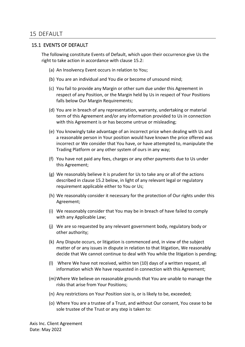#### <span id="page-32-1"></span><span id="page-32-0"></span>15.1 EVENTS OF DEFAULT

The following constitute Events of Default, which upon their occurrence give Us the right to take action in accordance with clause [15.2:](#page-33-0)

- (a) An Insolvency Event occurs in relation to You;
- (b) You are an individual and You die or become of unsound mind;
- (c) You fail to provide any Margin or other sum due under this Agreement in respect of any Position, or the Margin held by Us in respect of Your Positions falls below Our Margin Requirements;
- (d) You are in breach of any representation, warranty, undertaking or material term of this Agreement and/or any information provided to Us in connection with this Agreement is or has become untrue or misleading;
- (e) You knowingly take advantage of an incorrect price when dealing with Us and a reasonable person in Your position would have known the price offered was incorrect or We consider that You have, or have attempted to, manipulate the Trading Platform or any other system of ours in any way;
- (f) You have not paid any fees, charges or any other payments due to Us under this Agreement;
- (g) We reasonably believe it is prudent for Us to take any or all of the actions described in clause [15.2](#page-33-0) below, in light of any relevant legal or regulatory requirement applicable either to You or Us;
- (h) We reasonably consider it necessary for the protection of Our rights under this Agreement;
- (i) We reasonably consider that You may be in breach of have failed to comply with any Applicable Law;
- (j) We are so requested by any relevant government body, regulatory body or other authority;
- (k) Any Dispute occurs, or litigation is commenced and, in view of the subject matter of or any issues in dispute in relation to that litigation, We reasonably decide that We cannot continue to deal with You while the litigation is pending;
- (l) Where We have not received, within ten (10) days of a written request, all information which We have requested in connection with this Agreement;
- (m)Where We believe on reasonable grounds that You are unable to manage the risks that arise from Your Positions;
- (n) Any restrictions on Your Position size is, or is likely to be, exceeded;
- (o) Where You are a trustee of a Trust, and without Our consent, You cease to be sole trustee of the Trust or any step is taken to: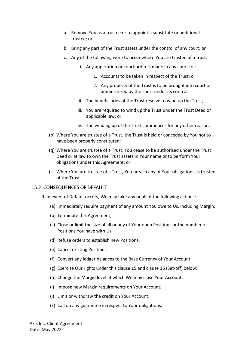- a. Remove You as a trustee or to appoint a substitute or additional trustee; or
- b. Bring any part of the Trust assets under the control of any court; or
- c. Any of the following were to occur where You are trustee of a trust:
	- i. Any application or court order is made in any court for:
		- 1. Accounts to be taken in respect of the Trust; or
		- 2. Any property of the Trust is to be brought into court or administered by the court under its control;
	- ii. The beneficiaries of the Trust resolve to wind up the Trust;
	- iii. You are required to wind up the Trust under the Trust Deed or applicable law; or
	- iv. The winding up of the Trust commences for any other reason;
- (p) Where You are trustee of a Trust, the Trust is held or conceded by You not to have been properly constituted;
- (q) Where You are trustee of a Trust, You cease to be authorised under the Trust Deed or at law to own the Trust assets in Your name or to perform Your obligations under this Agreement; or
- (r) Where You are trustee of a Trust, You breach any of Your obligations as trustee of the Trust.

#### <span id="page-33-0"></span>15.2 CONSEQUENCES OF DEFAULT

If an event of Default occurs, We may take any or all of the following actions:

- (a) Immediately require payment of any amount You owe to Us, including Margin;
- (b) Terminate this Agreement;
- (c) Close or limit the size of all or any of Your open Positions or the number of Positions You have with Us;
- (d) Refuse orders to establish new Positions;
- (e) Cancel existing Positions;
- (f) Convert any ledger balances to the Base Currency of Your Account;
- (g) Exercise Our rights under this clause 15 and clause [16](#page-35-2) (Set-off) below;
- (h) Change the Margin level at which We may close Your Account;
- (i) Impose new Margin requirements on Your Account;
- (j) Limit or withdraw the credit on Your Account;
- (k) Call on any guarantee in respect to Your obligations;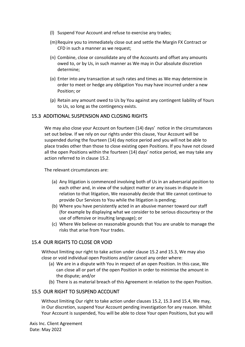- (l) Suspend Your Account and refuse to exercise any trades;
- (m)Require you to immediately close out and settle the Margin FX Contract or CFD in such a manner as we request;
- (n) Combine, close or consolidate any of the Accounts and offset any amounts owed to, or by Us, in such manner as We may in Our absolute discretion determine;
- (o) Enter into any transaction at such rates and times as We may determine in order to meet or hedge any obligation You may have incurred under a new Position; or
- (p) Retain any amount owed to Us by You against any contingent liability of Yours to Us, so long as the contingency exists.

#### <span id="page-34-0"></span>15.3 ADDITIONAL SUSPENSION AND CLOSING RIGHTS

We may also close your Account on fourteen (14) days' notice in the circumstances set out below. If we rely on our rights under this clause, Your Account will be suspended during the fourteen (14) day notice period and you will not be able to place trades other than those to close existing open Positions. If you have not closed all the open Positions within the fourteen (14) days' notice period, we may take any action referred to in clause 15.2.

The relevant circumstances are:

- (a) Any litigation is commenced involving both of Us in an adversarial position to each other and, in view of the subject matter or any issues in dispute in relation to that litigation, We reasonably decide that We cannot continue to provide Our Services to You while the litigation is pending;
- (b) Where you have persistently acted in an abusive manner toward our staff (for example by displaying what we consider to be serious discourtesy or the use of offensive or insulting language); or
- (c) Where We believe on reasonable grounds that You are unable to manage the risks that arise from Your trades.

#### <span id="page-34-1"></span>15.4 OUR RIGHTS TO CLOSE OR VOID

Without limiting our right to take action under clause 15.2 and 15.3, We may also close or void individual open Positions and/or cancel any order where:

- (a) We are in a dispute with You in respect of an open Position. In this case, We can close all or part of the open Position in order to minimise the amount in the dispute; and/or
- (b) There is as material breach of this Agreement in relation to the open Position.

## <span id="page-34-2"></span>15.5 OUR RIGHT TO SUSPEND ACCOUNT

Without limiting Our right to take action under clauses 15.2, 15.3 and 15.4, We may, in Our discretion, suspend Your Account pending investigation for any reason. Whilst Your Account is suspended, You will be able to close Your open Positions, but you will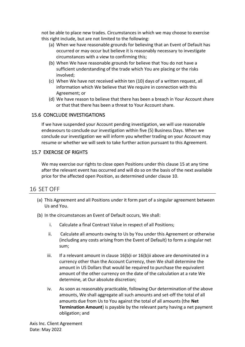not be able to place new trades. Circumstances in which we may choose to exercise this right include, but are not limited to the following:

- (a) When we have reasonable grounds for believing that an Event of Default has occurred or may occur but believe it is reasonably necessary to investigate circumstances with a view to confirming this;
- (b) When We have reasonable grounds for believe that You do not have a sufficient understanding of the trade which You are placing or the risks involved;
- (c) When We have not received within ten (10) days of a written request, all information which We believe that We require in connection with this Agreement; or
- (d) We have reason to believe that there has been a breach in Your Account share or that that there has been a threat to Your Account share.

## <span id="page-35-0"></span>15.6 CONCLUDE INVESTIGATIONS

If we have suspended your Account pending investigation, we will use reasonable endeavours to conclude our investigation within five (5) Business Days. When we conclude our investigation we will inform you whether trading on your Account may resume or whether we will seek to take further action pursuant to this Agreement.

#### <span id="page-35-1"></span>15.7 EXERCISE OF RIGHTS

We may exercise our rights to close open Positions under this clause 15 at any time after the relevant event has occurred and will do so on the basis of the next available price for the affected open Position, as determined under clause [10.](#page-20-5)

# <span id="page-35-2"></span>16 SET OFF

- (a) This Agreement and all Positions under it form part of a singular agreement between Us and You.
- (b) In the circumstances an Event of Default occurs, We shall:
	- i. Calculate a final Contract Value in respect of all Positions;
	- ii. Calculate all amounts owing to Us by You under this Agreement or otherwise (including any costs arising from the Event of Default) to form a singular net sum;
	- iii. If a relevant amount in clause  $16(b)$ i or  $16(b)$ ii above are denominated in a currency other than the Account Currency, then We shall determine the amount in US Dollars that would be required to purchase the equivalent amount of the other currency on the date of the calculation at a rate We determine, at Our absolute discretion;
	- iv. As soon as reasonably practicable, following Our determination of the above amounts, We shall aggregate all such amounts and set-off the total of all amounts due from Us to You against the total of all amounts (the **Net Termination Amount**) is payable by the relevant party having a net payment obligation; and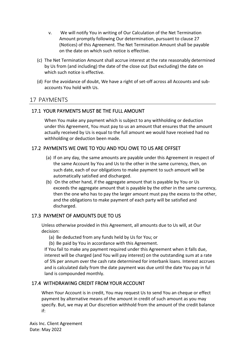- v. We will notify You in writing of Our Calculation of the Net Termination Amount promptly following Our determination, pursuant to clause 27 (Notices) of this Agreement. The Net Termination Amount shall be payable on the date on which such notice is effective.
- (c) The Net Termination Amount shall accrue interest at the rate reasonably determined by Us from (and including) the date of the close out (but excluding) the date on which such notice is effective.
- (d) For the avoidance of doubt, We have a right of set-off across all Accounts and subaccounts You hold with Us.

# <span id="page-36-0"></span>17 PAYMENTS

# <span id="page-36-1"></span>17.1 YOUR PAYMENTS MUST BE THE FULL AMOUNT

When You make any payment which is subject to any withholding or deduction under this Agreement, You must pay to us an amount that ensures that the amount actually received by Us is equal to the full amount we would have received had no withholding or deduction been made.

## <span id="page-36-2"></span>17.2 PAYMENTS WE OWE TO YOU AND YOU OWE TO US ARE OFFSET

- (a) If on any day, the same amounts are payable under this Agreement in respect of the same Account by You and Us to the other in the same currency, then, on such date, each of our obligations to make payment to such amount will be automatically satisfied and discharged.
- (b) On the other hand, if the aggregate amount that is payable by You or Us exceeds the aggregate amount that is payable by the other in the same currency, then the one who has to pay the larger amount must pay the excess to the other, and the obligations to make payment of each party will be satisfied and discharged.

## <span id="page-36-3"></span>17.3 PAYMENT OF AMOUNTS DUE TO US

Unless otherwise provided in this Agreement, all amounts due to Us will, at Our decision:

(a) Be deducted from any funds held by Us for You; or

(b) Be paid by You in accordance with this Agreement.

If You fail to make any payment required under this Agreement when it falls due, interest will be charged (and You will pay interest) on the outstanding sum at a rate of 5% per annum over the cash rate determined for interbank loans. Interest accrues and is calculated daily from the date payment was due until the date You pay in ful land is compounded monthly.

## <span id="page-36-4"></span>17.4 WITHDRAWING CREDIT FROM YOUR ACCOUNT

When Your Account is in credit, You may request Us to send You an cheque or effect payment by alternative means of the amount in credit of such amount as you may specify. But, we may at Our discretion withhold from the amount of the credit balance if: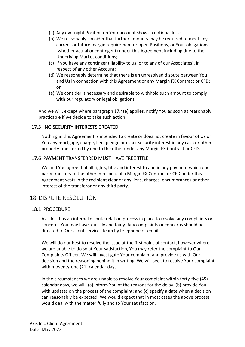- (a) Any overnight Position on Your account shows a notional loss;
- (b) We reasonably consider that further amounts may be required to meet any current or future margin requirement or open Positions, or Your obligations (whether actual or contingent) under this Agreement including due to the Underlying Market conditions;
- (c) If you have any contingent liability to us (or to any of our Associates), in respect of any other Account;
- (d) We reasonably determine that there is an unresolved dispute between You and Us in connection with this Agreement or any Margin FX Contract or CFD; or
- (e) We consider it necessary and desirable to withhold such amount to comply with our regulatory or legal obligations,

And we will, except where paragraph 17.4(e) applies, notify You as soon as reasonably practicable if we decide to take such action.

## <span id="page-37-0"></span>17.5 NO SECURITY INTERESTS CREATED

Nothing in this Agreement is intended to create or does not create in favour of Us or You any mortgage, charge, lien, pledge or other security interest in any cash or other property transferred by one to the other under any Margin FX Contract or CFD.

## <span id="page-37-1"></span>17.6 PAYMENT TRANSFERRED MUST HAVE FREE TITLE

We and You agree that all rights, title and interest to and in any payment which one party transfers to the other in respect of a Margin FX Contract or CFD under this Agreement vests in the recipient clear of any liens, charges, encumbrances or other interest of the transferor or any third party.

# <span id="page-37-2"></span>18 DISPUTE RESOLUTION

## <span id="page-37-4"></span><span id="page-37-3"></span>18.1 PROCEDURE

Axis Inc. has an internal dispute relation process in place to resolve any complaints or concerns You may have, quickly and fairly. Any complaints or concerns should be directed to Our client services team by telephone or email.

We will do our best to resolve the issue at the first point of contact, however where we are unable to do so at Your satisfaction, You may refer the complaint to Our Complaints Officer. We will investigate Your complaint and provide us with Our decision and the reasoning behind it in writing. We will seek to resolve Your complaint within twenty-one (21) calendar days.

In the circumstances we are unable to resolve Your complaint within forty-five (45) calendar days, we will: (a) inform You of the reasons for the delay; (b) provide You with updates on the process of the complaint; and (c) specify a date when a decision can reasonably be expected. We would expect that in most cases the above process would deal with the matter fully and to Your satisfaction.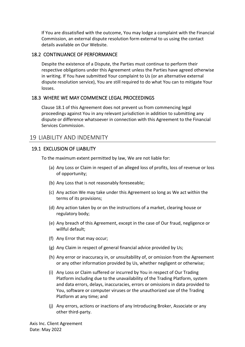If You are dissatisfied with the outcome, You may lodge a complaint with the Financial Commission, an external dispute resolution form external to us using the contact details available on Our Website.

#### <span id="page-38-0"></span>18.2 CONTINUANCE OF PERFORMANCE

Despite the existence of a Dispute, the Parties must continue to perform their respective obligations under this Agreement unless the Parties have agreed otherwise in writing. If You have submitted Your complaint to Us (or an alternative external dispute resolution service), You are still required to do what You can to mitigate Your losses.

#### <span id="page-38-1"></span>18.3 WHERE WE MAY COMMENCE LEGAL PROCEEDINGS

Clause 18.1 of this Agreement does not prevent us from commencing legal proceedings against You in any relevant jurisdiction in addition to submitting any dispute or difference whatsoever in connection with this Agreement to the Financial Services Commission.

# <span id="page-38-2"></span>19 LIABILITY AND INDEMNITY

#### <span id="page-38-3"></span>19.1 EXCLUSION OF LIABILITY

To the maximum extent permitted by law, We are not liable for:

- (a) Any Loss or Claim in respect of an alleged loss of profits, loss of revenue or loss of opportunity;
- (b) Any Loss that is not reasonably foreseeable;
- (c) Any action We may take under this Agreement so long as We act within the terms of its provisions;
- (d) Any action taken by or on the instructions of a market, clearing house or regulatory body;
- (e) Any breach of this Agreement, except in the case of Our fraud, negligence or willful default;
- (f) Any Error that may occur;
- (g) Any Claim in respect of general financial advice provided by Us;
- (h) Any error or inaccuracy in, or unsuitability of, or omission from the Agreement or any other information provided by Us, whether negligent or otherwise;
- (i) Any Loss or Claim suffered or incurred by You in respect of Our Trading Platform including due to the unavailability of the Trading Platform, system and data errors, delays, inaccuracies, errors or omissions in data provided to You, software or computer viruses or the unauthorized use of the Trading Platform at any time; and
- (j) Any errors, actions or inactions of any Introducing Broker, Associate or any other third-party.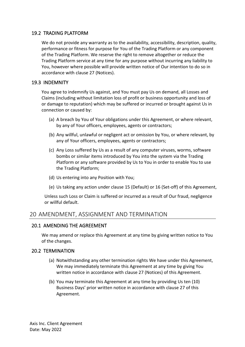## <span id="page-39-0"></span>19.2 TRADING PLATFORM

We do not provide any warranty as to the availability, accessibility, description, quality, performance or fitness for purpose for You of the Trading Platform or any component of the Trading Platform. We reserve the right to remove altogether or reduce the Trading Platform service at any time for any purpose without incurring any liability to You, however where possible will provide written notice of Our intention to do so in accordance with clause 27 (Notices).

#### <span id="page-39-1"></span>19.3 INDEMNITY

You agree to indemnify Us against, and You must pay Us on demand, all Losses and Claims (including without limitation loss of profit or business opportunity and loss of or damage to reputation) which may be suffered or incurred or brought against Us in connection or caused by:

- (a) A breach by You of Your obligations under this Agreement, or where relevant, by any of Your officers, employees, agents or contractors;
- (b) Any willful, unlawful or negligent act or omission by You, or where relevant, by any of Your officers, employees, agents or contractors;
- (c) Any Loss suffered by Us as a result of any computer viruses, worms, software bombs or similar items introduced by You into the system via the Trading Platform or any software provided by Us to You in order to enable You to use the Trading Platform;
- (d) Us entering into any Position with You;
- (e) Us taking any action under clause [15](#page-32-0) (Default) or [16](#page-35-2) (Set-off) of this Agreement,

Unless such Loss or Claim is suffered or incurred as a result of Our fraud, negligence or willful default.

# <span id="page-39-2"></span>20 AMENDMENT, ASSIGNMENT AND TERMINATION

#### <span id="page-39-3"></span>20.1 AMENDING THE AGREEMENT

We may amend or replace this Agreement at any time by giving written notice to You of the changes.

#### <span id="page-39-4"></span>20.2 TERMINATION

- (a) Notwithstanding any other termination rights We have under this Agreement, We may immediately terminate this Agreement at any time by giving You written notice in accordance with clause 27 (Notices) of this Agreement.
- (b) You may terminate this Agreement at any time by providing Us ten (10) Business Days' prior written notice in accordance with clause 27 of this Agreement.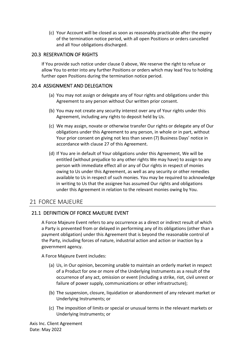(c) Your Account will be closed as soon as reasonably practicable after the expiry of the termination notice period, with all open Positions or orders cancelled and all Your obligations discharged.

#### <span id="page-40-0"></span>20.3 RESERVATION OF RIGHTS

If You provide such notice under clause [0](#page-37-4) above, We reserve the right to refuse or allow You to enter into any further Positions or orders which may lead You to holding further open Positions during the termination notice period.

#### <span id="page-40-1"></span>20.4 ASSIGNMENT AND DELEGATION

- (a) You may not assign or delegate any of Your rights and obligations under this Agreement to any person without Our written prior consent.
- (b) You may not create any security interest over any of Your rights under this Agreement, including any rights to deposit held by Us.
- (c) We may assign, novate or otherwise transfer Our rights or delegate any of Our obligations under this Agreement to any person, in whole or in part, without Your prior consent on giving not less than seven (7) Business Days' notice in accordance with clause 27 of this Agreement.
- (d) If You are in default of Your obligations under this Agreement, We will be entitled (without prejudice to any other rights We may have) to assign to any person with immediate effect all or any of Our rights in respect of monies owing to Us under this Agreement, as well as any security or other remedies available to Us in respect of such monies. You may be required to acknowledge in writing to Us that the assignee has assumed Our rights and obligations under this Agreement in relation to the relevant monies owing by You.

# <span id="page-40-2"></span>21 FORCE MAJEURE

## <span id="page-40-3"></span>21.1 DEFINITION OF FORCE MAJEURE EVENT

A Force Majeure Event refers to any occurrence as a direct or indirect result of which a Party is prevented from or delayed in performing any of its obligations (other than a payment obligation) under this Agreement that is beyond the reasonable control of the Party, including forces of nature, industrial action and action or inaction by a government agency.

A Force Majeure Event includes:

- (a) Us, in Our opinion, becoming unable to maintain an orderly market in respect of a Product for one or more of the Underlying Instruments as a result of the occurrence of any act, omission or event (including a strike, riot, civil unrest or failure of power supply, communications or other infrastructure);
- (b) The suspension, closure, liquidation or abandonment of any relevant market or Underlying Instruments; or
- (c) The imposition of limits or special or unusual terms in the relevant markets or Underlying Instruments; or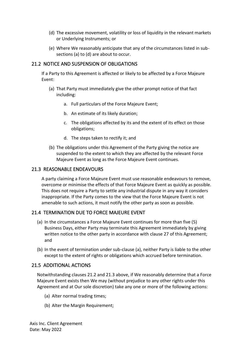- (d) The excessive movement, volatility or loss of liquidity in the relevant markets or Underlying Instruments; or
- (e) Where We reasonably anticipate that any of the circumstances listed in subsections (a) to (d) are about to occur.

## <span id="page-41-0"></span>21.2 NOTICE AND SUSPENSION OF OBLIGATIONS

If a Party to this Agreement is affected or likely to be affected by a Force Majeure Event:

- (a) That Party must immediately give the other prompt notice of that fact including:
	- a. Full particulars of the Force Majeure Event;
	- b. An estimate of its likely duration;
	- c. The obligations affected by its and the extent of its effect on those obligations;
	- d. The steps taken to rectify it; and
- (b) The obligations under this Agreement of the Party giving the notice are suspended to the extent to which they are affected by the relevant Force Majeure Event as long as the Force Majeure Event continues.

## <span id="page-41-1"></span>21.3 REASONABLE ENDEAVOURS

A party claiming a Force Majeure Event must use reasonable endeavours to remove, overcome or minimise the effects of that Force Majeure Event as quickly as possible. This does not require a Party to settle any industrial dispute in any way it considers inappropriate. If the Party comes to the view that the Force Majeure Event is not amenable to such actions, it must notify the other party as soon as possible.

## <span id="page-41-2"></span>21.4 TERMINATION DUE TO FORCE MAJEURE EVENT

- (a) In the circumstances a Force Majeure Event continues for more than five (5) Business Days, either Party may terminate this Agreement immediately by giving written notice to the other party in accordance with clause 27 of this Agreement; and
- (b) In the event of termination under sub-clause (a), neither Party is liable to the other except to the extent of rights or obligations which accrued before termination.

## <span id="page-41-3"></span>21.5 ADDITIONAL ACTIONS

Notwithstanding clauses [21.2](#page-41-0) and [21.3](#page-41-1) above, if We reasonably determine that a Force Majeure Event exists then We may (without prejudice to any other rights under this Agreement and at Our sole discretion) take any one or more of the following actions:

- (a) Alter normal trading times;
- (b) Alter the Margin Requirement;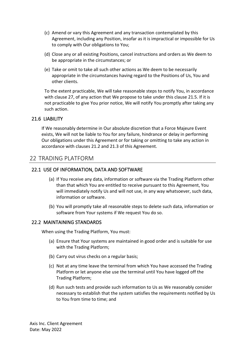- (c) Amend or vary this Agreement and any transaction contemplated by this Agreement, including any Position, insofar as it is impractical or impossible for Us to comply with Our obligations to You;
- (d) Close any or all existing Positions, cancel instructions and orders as We deem to be appropriate in the circumstances; or
- (e) Take or omit to take all such other actions as We deem to be necessarily appropriate in the circumstances having regard to the Positions of Us, You and other clients.

To the extent practicable, We will take reasonable steps to notify You, in accordance with clause 27, of any action that We propose to take under this clause 21.5. If it is not practicable to give You prior notice, We will notify You promptly after taking any such action.

#### <span id="page-42-0"></span>21.6 LIABILITY

If We reasonably determine in Our absolute discretion that a Force Majeure Event exists, We will not be liable to You for any failure, hindrance or delay in performing Our obligations under this Agreement or for taking or omitting to take any action in accordance with clause[s 21.2](#page-41-0) and [21.3](#page-41-1) of this Agreement.

## <span id="page-42-1"></span>22 TRADING PLATFORM

#### <span id="page-42-2"></span>22.1 USE OF INFORMATION, DATA AND SOFTWARE

- (a) If You receive any data, information or software via the Trading Platform other than that which You are entitled to receive pursuant to this Agreement, You will immediately notify Us and will not use, in any way whatsoever, such data, information or software.
- (b) You will promptly take all reasonable steps to delete such data, information or software from Your systems if We request You do so.

#### <span id="page-42-3"></span>22.2 MAINTAINING STANDARDS

When using the Trading Platform, You must:

- (a) Ensure that Your systems are maintained in good order and is suitable for use with the Trading Platform;
- (b) Carry out virus checks on a regular basis;
- (c) Not at any time leave the terminal from which You have accessed the Trading Platform or let anyone else use the terminal until You have logged off the Trading Platform;
- (d) Run such tests and provide such information to Us as We reasonably consider necessary to establish that the system satisfies the requirements notified by Us to You from time to time; and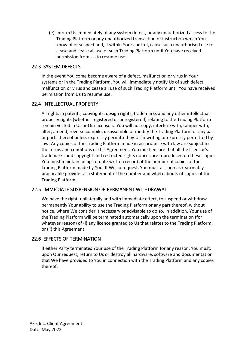(e) Inform Us immediately of any system defect, or any unauthorized access to the Trading Platform or any unauthorized transaction or instruction which You know of or suspect and, if within Your control, cause such unauthorised use to cease and cease all use of such Trading Platform until You have received permission from Us to resume use.

## <span id="page-43-0"></span>22.3 SYSTEM DEFECTS

In the event You come become aware of a defect, malfunction or virus in Your systems or in the Trading Platform, You will immediately notify Us of such defect, malfunction or virus and cease all use of such Trading Platform until You have received permission from Us to resume use.

## <span id="page-43-1"></span>22.4 INTELLECTUAL PROPERTY

All rights in patents, copyrights, design rights, trademarks and any other intellectual property rights (whether registered or unregistered) relating to the Trading Platform remain vested in Us or Our licensors. You will not copy, interfere with, tamper with, alter, amend, reverse compile, disassemble or modify the Trading Platform or any part or parts thereof unless expressly permitted by Us in writing or expressly permitted by law. Any copies of the Trading Platform made in accordance with law are subject to the terms and conditions of this Agreement. You must ensure that all the licensor's trademarks and copyright and restricted rights notices are reproduced on these copies. You must maintain an up-to-date written record of the number of copies of the Trading Platform made by You. If We so request, You must as soon as reasonably practicable provide Us a statement of the number and whereabouts of copies of the Trading Platform.

## <span id="page-43-2"></span>22.5 IMMEDIATE SUSPENSION OR PERMANENT WITHDRAWAL

We have the right, unilaterally and with immediate effect, to suspend or withdraw permanently Your ability to use the Trading Platform or any part thereof, without notice, where We consider it necessary or advisable to do so. In addition, Your use of the Trading Platform will be terminated automatically upon the termination (for whatever reason) of (i) any licence granted to Us that relates to the Trading Platform; or (ii) this Agreement.

## <span id="page-43-3"></span>22.6 EFFECTS OF TERMINATION

If either Party terminates Your use of the Trading Platform for any reason, You must, upon Our request, return to Us or destroy all hardware, software and documentation that We have provided to You in connection with the Trading Platform and any copies thereof.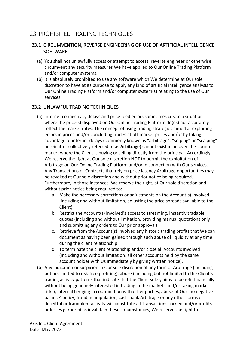## <span id="page-44-1"></span><span id="page-44-0"></span>23.1 CIRCUMVENTION, REVERSE ENGINEERING OR USE OF ARTIFICIAL INTELLIGENCE **SOFTWARE**

- (a) You shall not unlawfully access or attempt to access, reverse engineer or otherwise circumvent any security measures We have applied to Our Online Trading Platform and/or computer systems.
- (b) It is absolutely prohibited to use any software which We determine at Our sole discretion to have at its purpose to apply any kind of artificial intelligence analysis to Our Online Trading Platform and/or computer system(s) relating to the use of Our services.

# <span id="page-44-2"></span>23.2 UNLAWFUL TRADING TECHNIQUES

- (a) Internet connectivity delays and price feed errors sometimes create a situation where the price(s) displayed on Our Online Trading Platform do(es) not accurately reflect the market rates. The concept of using trading strategies aimed at exploiting errors in prices and/or concluding trades at off-market prices and/or by taking advantage of internet delays (commonly known as "arbitrage", "sniping" or "scalping" hereinafter collectively referred to as **Arbitrage**) cannot exist in an over-the-counter market where the Client is buying or selling directly from the principal. Accordingly, We reserve the right at Our sole discretion NOT to permit the exploitation of Arbitrage on Our Online Trading Platform and/or in connection with Our services. Any Transactions or Contracts that rely on price latency Arbitrage opportunities may be revoked at Our sole discretion and without prior notice being required. Furthermore, in those instances, We reserve the right, at Our sole discretion and without prior notice being required to:
	- a. Make the necessary corrections or adjustments on the Account(s) involved (including and without limitation, adjusting the price spreads available to the Client);
	- b. Restrict the Account(s) involved's access to streaming, instantly tradable quotes (including and without limitation, providing manual quotations only and submitting any orders to Our prior approval);
	- c. Retrieve from the Account(s) involved any historic trading profits that We can document as having been gained through such abuse of liquidity at any time during the client relationship;
	- d. To terminate the client relationship and/or close all Accounts involved (including and without limitation, all other accounts held by the same account holder with Us immediately by giving written notice).
- (b) Any indication or suspicion in Our sole discretion of any form of Arbitrage (including but not limited to risk-free profiting), abuse (including but not limited to the Client's trading activity patterns that indicate that the Client solely aims to benefit financially without being genuinely interested in trading in the markets and/or taking market risks), internal hedging in coordination with other parties, abuse of Our 'no negative balance' policy, fraud, manipulation, cash-bank Arbitrage or any other forms of deceitful or fraudulent activity will constitute all Transactions carried and/or profits or losses garnered as invalid. In these circumstances, We reserve the right to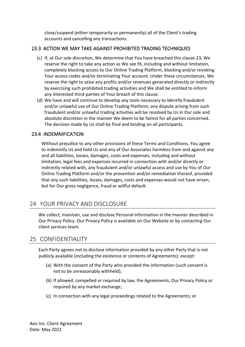close/suspend (either temporarily or permanently) all of the Client's trading accounts and cancelling any transactions.

## <span id="page-45-0"></span>23.3 ACTION WE MAY TAKE AGAINST PROHIBITED TRADING TECHNIQUES

- (c) If, at Our sole discretion, We determine that You have breached this clause [23,](#page-44-0) We reserve the right to take any action as We see fit, including and without limitation, completely blocking access to Our Online Trading Platform, blocking and/or revoking Your access codes and/or terminating Your account. Under these circumstances, We reserve the right to seize any profits and/or revenues generated directly or indirectly by exercising such prohibited trading activities and We shall be entitled to inform any interested third-parties of Your breach of this clause.
- (d) We have and will continue to develop any tools necessary to identify fraudulent and/or unlawful use of Our Online Trading Platform; any dispute arising from such fraudulent and/or unlawful trading activities will be resolved by Us in Our sole and absolute discretion in the manner We deem to be fairest for all parties concerned. The decision made by Us shall be final and binding on all participants.

## <span id="page-45-1"></span>23.4 INDEMNIFICATION

Without prejudice to any other provisions of these Terms and Conditions, You agree to indemnify Us and hold Us and any of Our Associates harmless from and against any and all liabilities, losses, damages, costs and expenses, including and without limitation, legal fees and expenses incurred in connection with and/or directly or indirectly related with, any fraudulent and/or unlawful access and use by You of Our Online Trading Platform and/or the prevention and/or remediation thereof, provided that any such liabilities, losses, damages, costs and expenses would not have arisen, but for Our gross negligence, fraud or willful default.

# <span id="page-45-2"></span>24 YOUR PRIVACY AND DISCLOSURE

We collect, maintain, use and disclose Personal Information in the manner described in Our Privacy Policy. Our Privacy Policy is available on Our Website or by contacting Our client services team.

# <span id="page-45-3"></span>25 CONFIDENTIALITY

Each Party agrees not to disclose information provided by any other Party that is not publicly available (including the existence or contents of Agreements): except:

- (a) With the consent of the Party who provided the information (such consent is not to be unreasonably withheld);
- (b) If allowed, compelled or required by law, the Agreements, Our Privacy Policy or required by any market exchange;
- (c) In connection with any legal proceedings related to the Agreements; or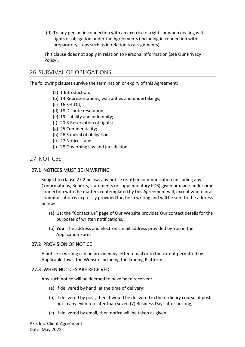(d) To any person in connection with an exercise of rights or when dealing with rights or obligation under the Agreements (including in connection with preparatory steps such as in relation to assignments).

This clause does not apply in relation to Personal Information (see Our Privacy Policy).

# <span id="page-46-0"></span>26 SURVIVAL OF OBLIGATIONS

The following clauses survive the termination or expiry of this Agreement:

- (a) 1 Introduction;
- (b) [14](#page-28-0) Representations, warranties and undertakings;
- (c) [16](#page-35-2) Set Off;
- (d) [18](#page-37-2) Dispute resolution,
- (e) [19](#page-38-2) Liability and indemnity;
- (f) [20.3](#page-40-0) Reservation of rights;
- (g) [25](#page-45-3) Confidentiality;
- (h) 26 Survival of obligations;
- (i) [27](#page-46-1) Notices; and
- (j) [28](#page-47-1) Governing law and jurisdiction.

# <span id="page-46-1"></span>27 NOTICES

#### <span id="page-46-2"></span>27.1 NOTICES MUST BE IN WRITING

Subject to clause 27.2 below, any notice or other communication (including any Confirmations, Reports, statements or supplementary PDS) given or made under or in connection with the matters contemplated by this Agreement will, except where oral communication is expressly provided for, be in writing and will be sent to the address below:

- (a) **Us:** the "Contact Us" page of Our Website provides Our contact details for the purposes of written notifications.
- (b) **You**: The address and electronic mail address provided by You in the Application Form

#### <span id="page-46-3"></span>27.2 PROVISION OF NOTICE

A notice in writing can be provided by letter, email or to the extent permitted by Applicable Laws, the Website including the Trading Platform.

#### <span id="page-46-4"></span>27.3 WHEN NOTICES ARE RECEIVED

Any such notice will be deemed to have been received:

- (a) If delivered by hand, at the time of delivery;
- (b) If delivered by post, then it would be delivered in the ordinary course of post but in any event no later than seven (7) Business Days after posting;
- (c) If delivered by email, then notice will be taken as given: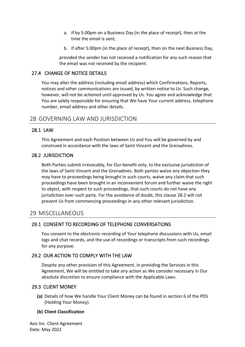- a. If by 5:00pm on a Business Day (in the place of receipt), then at the time the email is sent;
- b. If after 5:00pm (in the place of receipt), then on the next Business Day,

provided the sender has not received a notification for any such reason that the email was not received by the recipient.

## 27.4 CHANGE OF NOTICE DETAILS

<span id="page-47-0"></span>You may alter the address (including email address) which Confirmations, Reports, notices and other communications are issued, by written notice to Us. Such change, however, will not be actioned until approved by Us. You agree and acknowledge that You are solely responsible for ensuring that We have Your current address, telephone number, email address and other details.

# <span id="page-47-1"></span>28 GOVERNING LAW AND JURISDICTION

## <span id="page-47-2"></span>28.1 LAW

This Agreement and each Position between Us and You will be governed by and construed in accordance with the laws of Saint Vincent and the Grenadines.

## <span id="page-47-3"></span>28.2 JURISDICTION

Both Parties submit irrevocably, for Our benefit only, to the exclusive jurisdiction of the laws of Saint Vincent and the Grenadines. Both parties waive any objection they may have to proceedings being brought in such courts, waive any claim that such proceedings have been brought in an inconvenient forum and further waive the right to object, with respect to such proceedings, that such courts do not have any jurisdiction over such party. For the avoidance of doubt, this clause 28.2 will not prevent Us from commencing proceedings in any other relevant jurisdiction.

# <span id="page-47-4"></span>29 MISCELLANEOUS

## <span id="page-47-5"></span>29.1 CONSENT TO RECORDING OF TELEPHONE CONVERSATIONS

You consent to the electronic recording of Your telephone discussions with Us, email logs and chat records, and the use of recordings or transcripts from such recordings for any purpose.

## <span id="page-47-6"></span>29.2 OUR ACTION TO COMPLY WITH THE LAW

Despite any other provision of this Agreement, in providing the Services in this Agreement, We will be entitled to take any action as We consider necessary in Our absolute discretion to ensure compliance with the Applicable Laws.

## <span id="page-47-7"></span>29.3 CLIENT MONEY

**(a)** Details of how We handle Your Client Money can be found in section 6 of the PDS (Holding Your Money).

#### **(b) Client Classification**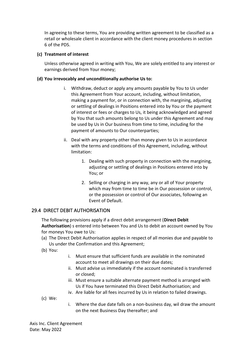In agreeing to these terms, You are providing written agreement to be classified as a retail or wholesale client in accordance with the client money procedures in section 6 of the PDS.

#### **(c) Treatment of interest**

Unless otherwise agreed in writing with You, We are solely entitled to any interest or earnings derived from Your money;

#### **(d) You irrevocably and unconditionally authorise Us to:**

- i. Withdraw, deduct or apply any amounts payable by You to Us under this Agreement from Your account, including, without limitation, making a payment for, or in connection with, the margining, adjusting or settling of dealings in Positions entered into by You or the payment of interest or fees or charges to Us, it being acknowledged and agreed by You that such amounts belong to Us under this Agreement and may be used by Us in Our business from time to time, including for the payment of amounts to Our counterparties;
- ii. Deal with any property other than money given to Us in accordance with the terms and conditions of this Agreement, including, without limitation:
	- 1. Dealing with such property in connection with the margining, adjusting or settling of dealings in Positions entered into by You; or
	- 2. Selling or charging in any way, any or all of Your property which may from time to time be in Our possession or control, or the possession or control of Our associates, following an Event of Default.

## <span id="page-48-0"></span>29.4 DIRECT DEBIT AUTHORISATION

The following provisions apply if a direct debit arrangement (**Direct Debit Authorisation**) s entered into between You and Us to debit an account owned by You for moneys You owe to Us:

- (a) The Direct Debit Authorisation applies in respect of all monies due and payable to Us under the Confirmation and this Agreement;
- (b) You:
- i. Must ensure that sufficient funds are available in the nominated account to meet all drawings on their due dates;
- ii. Must advise us immediately if the account nominated is transferred or closed;
- iii. Must ensure a suitable alternate payment method is arranged with Us if You have terminated this Direct Debit Authorisation; and
- iv. Are liable for all fees incurred by Us in relation to failed drawings.
- (c) We:
- i. Where the due date falls on a non-business day, wil draw the amount on the next Business Day thereafter; and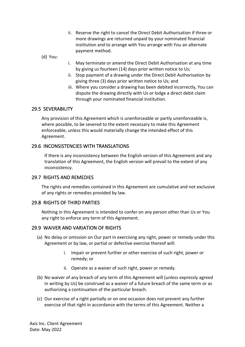ii. Reserve the right to cancel the Direct Debit Authorisation if three or more drawings are returned unpaid by your nominated financial institution and to arrange with You arrange with You an alternate payment method.

(d) You:

- i. May terminate or amend the Direct Debit Authorisation at any time by giving us fourteen (14) days prior written notice to Us;
- ii. Stop payment of a drawing under the Direct Debit Authorisation by giving three (3) days prior written notice to Us; and
- iii. Where you consider a drawing has been debited incorrectly, You can dispute the drawing directly with Us or lodge a direct debit claim through your nominated financial institution.

## <span id="page-49-0"></span>29.5 SEVERABILITY

Any provision of this Agreement which is unenforceable or partly unenforceable is, where possible, to be severed to the extent necessary to make this Agreement enforceable, unless this would materially change the intended effect of this Agreement.

#### <span id="page-49-1"></span>29.6 INCONSISTENCIES WITH TRANSLATIONS

If there is any inconsistency between the English version of this Agreement and any translation of this Agreement, the English version will prevail to the extent of any inconsistency.

#### <span id="page-49-2"></span>29.7 RIGHTS AND REMEDIES

The rights and remedies contained in this Agreement are cumulative and not exclusive of any rights or remedies provided by law.

## <span id="page-49-3"></span>29.8 RIGHTS OF THIRD PARTIES

Nothing in this Agreement is intended to confer on any person other than Us or You any right to enforce any term of this Agreement.

## <span id="page-49-4"></span>29.9 WAIVER AND VARIATION OF RIGHTS

- (a) No delay or omission on Our part in exercising any right, power or remedy under this Agreement or by law, or partial or defective exercise thereof will:
	- i. Impair or prevent further or other exercise of such right, power or remedy; or
	- ii. Operate as a waiver of such right, power or remedy.
- (b) No waiver of any breach of any term of this Agreement will (unless expressly agreed in writing by Us) be construed as a waiver of a future breach of the same term or as authorizing a continuation of the particular breach.
- (c) Our exercise of a right partially or on one occasion does not prevent any further exercise of that right in accordance with the terms of this Agreement. Neither a